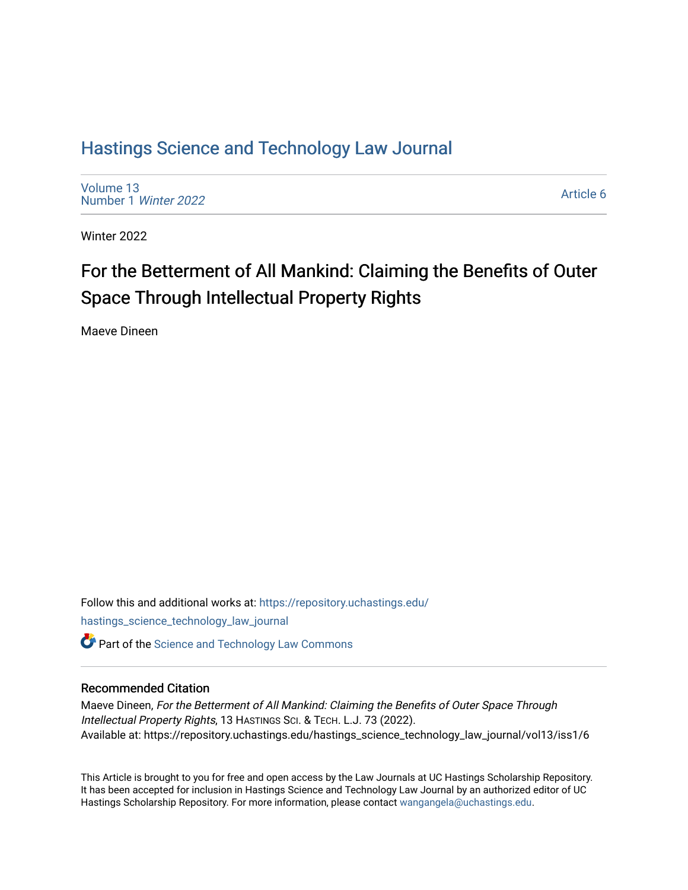# [Hastings Science and Technology Law Journal](https://repository.uchastings.edu/hastings_science_technology_law_journal)

[Volume 13](https://repository.uchastings.edu/hastings_science_technology_law_journal/vol13) [Number 1](https://repository.uchastings.edu/hastings_science_technology_law_journal/vol13/iss1) Winter 2022

[Article 6](https://repository.uchastings.edu/hastings_science_technology_law_journal/vol13/iss1/6) 

Winter 2022

# For the Betterment of All Mankind: Claiming the Benefits of Outer Space Through Intellectual Property Rights

Maeve Dineen

Follow this and additional works at: [https://repository.uchastings.edu/](https://repository.uchastings.edu/hastings_science_technology_law_journal?utm_source=repository.uchastings.edu%2Fhastings_science_technology_law_journal%2Fvol13%2Fiss1%2F6&utm_medium=PDF&utm_campaign=PDFCoverPages) [hastings\\_science\\_technology\\_law\\_journal](https://repository.uchastings.edu/hastings_science_technology_law_journal?utm_source=repository.uchastings.edu%2Fhastings_science_technology_law_journal%2Fvol13%2Fiss1%2F6&utm_medium=PDF&utm_campaign=PDFCoverPages)  **Part of the [Science and Technology Law Commons](http://network.bepress.com/hgg/discipline/875?utm_source=repository.uchastings.edu%2Fhastings_science_technology_law_journal%2Fvol13%2Fiss1%2F6&utm_medium=PDF&utm_campaign=PDFCoverPages)** 

# Recommended Citation

Maeve Dineen, For the Betterment of All Mankind: Claiming the Benefits of Outer Space Through Intellectual Property Rights, 13 HASTINGS SCI. & TECH. L.J. 73 (2022). Available at: https://repository.uchastings.edu/hastings\_science\_technology\_law\_journal/vol13/iss1/6

This Article is brought to you for free and open access by the Law Journals at UC Hastings Scholarship Repository. It has been accepted for inclusion in Hastings Science and Technology Law Journal by an authorized editor of UC Hastings Scholarship Repository. For more information, please contact [wangangela@uchastings.edu.](mailto:wangangela@uchastings.edu)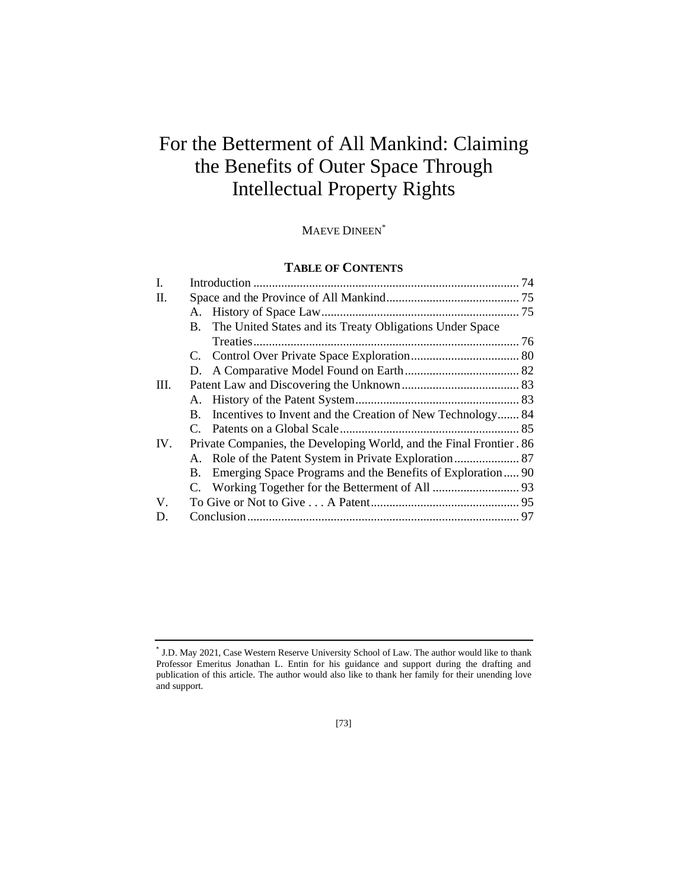# For the Betterment of All Mankind: Claiming the Benefits of Outer Space Through Intellectual Property Rights

MAEVE DINEEN\*

# **TABLE OF CONTENTS**

| I.  |                                                                     |                                                              |  |
|-----|---------------------------------------------------------------------|--------------------------------------------------------------|--|
| Π.  |                                                                     |                                                              |  |
|     |                                                                     |                                                              |  |
|     |                                                                     | B. The United States and its Treaty Obligations Under Space  |  |
|     |                                                                     |                                                              |  |
|     |                                                                     |                                                              |  |
|     |                                                                     |                                                              |  |
| Ш.  |                                                                     |                                                              |  |
|     |                                                                     |                                                              |  |
|     | $\mathbf{B}$ .                                                      | Incentives to Invent and the Creation of New Technology 84   |  |
|     |                                                                     |                                                              |  |
| IV. | Private Companies, the Developing World, and the Final Frontier. 86 |                                                              |  |
|     |                                                                     |                                                              |  |
|     |                                                                     | B. Emerging Space Programs and the Benefits of Exploration90 |  |
|     |                                                                     |                                                              |  |
| V.  |                                                                     |                                                              |  |
| D.  |                                                                     |                                                              |  |
|     |                                                                     |                                                              |  |

<sup>\*</sup> J.D. May 2021, Case Western Reserve University School of Law. The author would like to thank Professor Emeritus Jonathan L. Entin for his guidance and support during the drafting and publication of this article. The author would also like to thank her family for their unending love and support.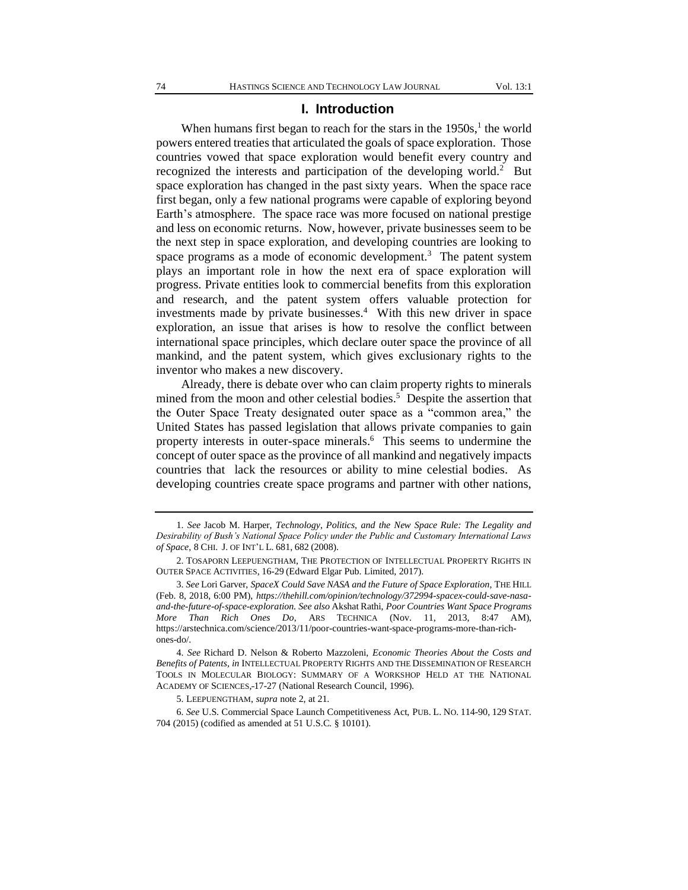#### **I. Introduction**

When humans first began to reach for the stars in the  $1950s$ ,<sup>1</sup> the world powers entered treaties that articulated the goals of space exploration. Those countries vowed that space exploration would benefit every country and recognized the interests and participation of the developing world.<sup>2</sup> But space exploration has changed in the past sixty years. When the space race first began, only a few national programs were capable of exploring beyond Earth's atmosphere. The space race was more focused on national prestige and less on economic returns. Now, however, private businesses seem to be the next step in space exploration, and developing countries are looking to space programs as a mode of economic development.<sup>3</sup> The patent system plays an important role in how the next era of space exploration will progress. Private entities look to commercial benefits from this exploration and research, and the patent system offers valuable protection for investments made by private businesses. $4$  With this new driver in space exploration, an issue that arises is how to resolve the conflict between international space principles, which declare outer space the province of all mankind, and the patent system, which gives exclusionary rights to the inventor who makes a new discovery.

Already, there is debate over who can claim property rights to minerals mined from the moon and other celestial bodies.<sup>5</sup> Despite the assertion that the Outer Space Treaty designated outer space as a "common area," the United States has passed legislation that allows private companies to gain property interests in outer-space minerals.<sup>6</sup> This seems to undermine the concept of outer space as the province of all mankind and negatively impacts countries that lack the resources or ability to mine celestial bodies. As developing countries create space programs and partner with other nations,

<sup>1.</sup> *See* Jacob M. Harper, *Technology, Politics, and the New Space Rule: The Legality and Desirability of Bush's National Space Policy under the Public and Customary International Laws of Space,* 8 CHI. J. OF INT'L L. 681, 682 (2008).

<sup>2.</sup> TOSAPORN LEEPUENGTHAM, THE PROTECTION OF INTELLECTUAL PROPERTY RIGHTS IN OUTER SPACE ACTIVITIES, 16-29 (Edward Elgar Pub. Limited, 2017).

<sup>3.</sup> *See* Lori Garver, *SpaceX Could Save NASA and the Future of Space Exploration*, THE HILL (Feb. 8, 2018, 6:00 PM), *https://thehill.com/opinion/technology/372994-spacex-could-save-nasaand-the-future-of-space-exploration. See also* Akshat Rathi, *Poor Countries Want Space Programs More Than Rich Ones Do*, ARS TECHNICA (Nov. 11, 2013, 8:47 AM), https://arstechnica.com/science/2013/11/poor-countries-want-space-programs-more-than-richones-do/.

<sup>4.</sup> *See* Richard D. Nelson & Roberto Mazzoleni, *Economic Theories About the Costs and Benefits of Patents, in* INTELLECTUAL PROPERTY RIGHTS AND THE DISSEMINATION OF RESEARCH TOOLS IN MOLECULAR BIOLOGY: SUMMARY OF A WORKSHOP HELD AT THE NATIONAL ACADEMY OF SCIENCES, 17-27 (National Research Council, 1996).

<sup>5.</sup> LEEPUENGTHAM, *supra* note 2, at 21.

<sup>6.</sup> *See* U.S. Commercial Space Launch Competitiveness Act, PUB. L. NO. 114-90, 129 STAT. 704 (2015) (codified as amended at 51 U.S.C. § 10101).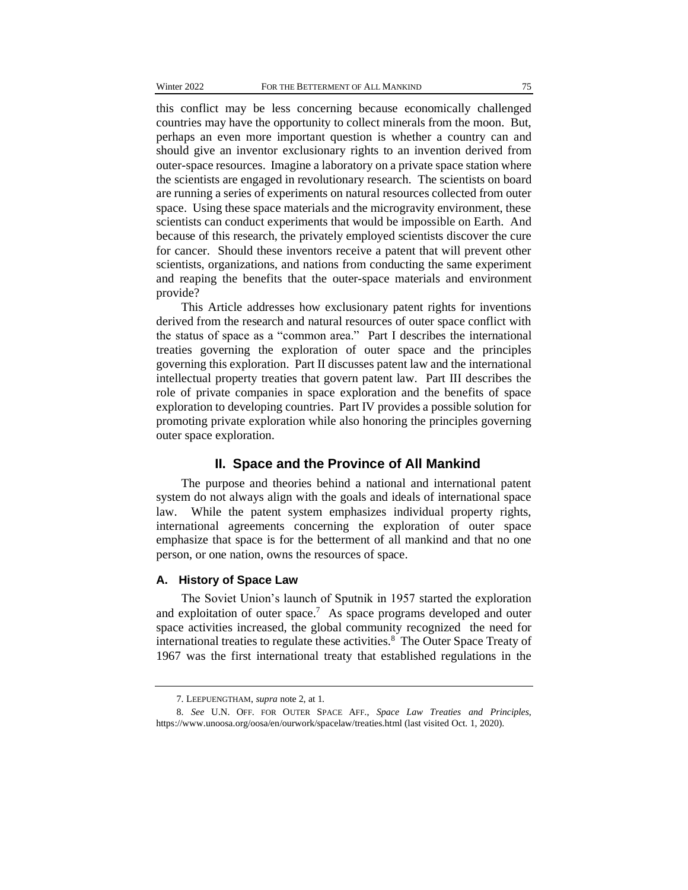this conflict may be less concerning because economically challenged countries may have the opportunity to collect minerals from the moon. But, perhaps an even more important question is whether a country can and should give an inventor exclusionary rights to an invention derived from outer-space resources. Imagine a laboratory on a private space station where the scientists are engaged in revolutionary research. The scientists on board are running a series of experiments on natural resources collected from outer space. Using these space materials and the microgravity environment, these scientists can conduct experiments that would be impossible on Earth. And because of this research, the privately employed scientists discover the cure for cancer. Should these inventors receive a patent that will prevent other scientists, organizations, and nations from conducting the same experiment and reaping the benefits that the outer-space materials and environment provide?

This Article addresses how exclusionary patent rights for inventions derived from the research and natural resources of outer space conflict with the status of space as a "common area." Part I describes the international treaties governing the exploration of outer space and the principles governing this exploration. Part II discusses patent law and the international intellectual property treaties that govern patent law. Part III describes the role of private companies in space exploration and the benefits of space exploration to developing countries. Part IV provides a possible solution for promoting private exploration while also honoring the principles governing outer space exploration.

# **II. Space and the Province of All Mankind**

The purpose and theories behind a national and international patent system do not always align with the goals and ideals of international space law. While the patent system emphasizes individual property rights, international agreements concerning the exploration of outer space emphasize that space is for the betterment of all mankind and that no one person, or one nation, owns the resources of space.

# **A. History of Space Law**

The Soviet Union's launch of Sputnik in 1957 started the exploration and exploitation of outer space.<sup>7</sup> As space programs developed and outer space activities increased, the global community recognized the need for international treaties to regulate these activities.<sup>8</sup> The Outer Space Treaty of 1967 was the first international treaty that established regulations in the

<sup>7.</sup> LEEPUENGTHAM, *supra* note 2, at 1.

<sup>8.</sup> *See* U.N. OFF. FOR OUTER SPACE AFF., *Space Law Treaties and Principles*, https://www.unoosa.org/oosa/en/ourwork/spacelaw/treaties.html (last visited Oct. 1, 2020).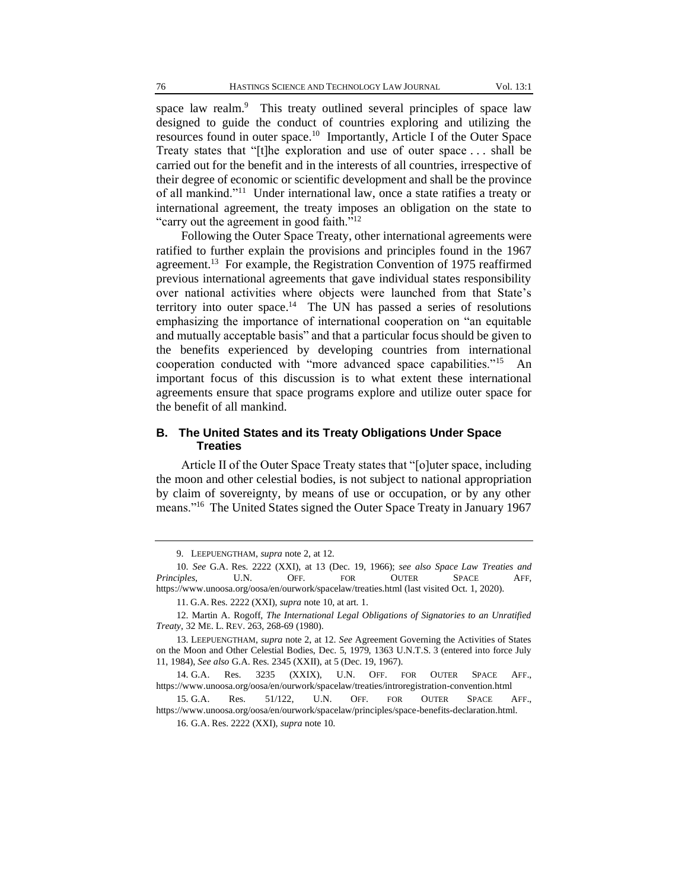space law realm.<sup>9</sup> This treaty outlined several principles of space law designed to guide the conduct of countries exploring and utilizing the resources found in outer space.<sup>10</sup> Importantly, Article I of the Outer Space Treaty states that "[t]he exploration and use of outer space . . . shall be carried out for the benefit and in the interests of all countries, irrespective of their degree of economic or scientific development and shall be the province of all mankind."<sup>11</sup> Under international law, once a state ratifies a treaty or international agreement, the treaty imposes an obligation on the state to "carry out the agreement in good faith."<sup>12</sup>

Following the Outer Space Treaty, other international agreements were ratified to further explain the provisions and principles found in the 1967 agreement.<sup>13</sup> For example, the Registration Convention of 1975 reaffirmed previous international agreements that gave individual states responsibility over national activities where objects were launched from that State's territory into outer space.<sup>14</sup> The UN has passed a series of resolutions emphasizing the importance of international cooperation on "an equitable and mutually acceptable basis" and that a particular focus should be given to the benefits experienced by developing countries from international cooperation conducted with "more advanced space capabilities."<sup>15</sup> An important focus of this discussion is to what extent these international agreements ensure that space programs explore and utilize outer space for the benefit of all mankind.

## **B. The United States and its Treaty Obligations Under Space Treaties**

Article II of the Outer Space Treaty states that "[o]uter space, including the moon and other celestial bodies, is not subject to national appropriation by claim of sovereignty, by means of use or occupation, or by any other means."<sup>16</sup> The United States signed the Outer Space Treaty in January 1967

<sup>9.</sup> LEEPUENGTHAM, *supra* note 2, at 12.

<sup>10.</sup> *See* G.A. Res. 2222 (XXI), at 13 (Dec. 19, 1966); *see also Space Law Treaties and Principles*, U.N. OFF. FOR OUTER SPACE AFF, https://www.unoosa.org/oosa/en/ourwork/spacelaw/treaties.html (last visited Oct. 1, 2020).

<sup>11.</sup> G.A. Res. 2222 (XXI), *supra* note 10, at art. 1.

<sup>12.</sup> Martin A. Rogoff, *The International Legal Obligations of Signatories to an Unratified Treaty*, 32 ME. L. REV. 263, 268-69 (1980).

<sup>13.</sup> LEEPUENGTHAM, *supra* note 2, at 12. *See* Agreement Governing the Activities of States on the Moon and Other Celestial Bodies, Dec. 5, 1979, 1363 U.N.T.S. 3 (entered into force July 11, 1984), *See also* G.A. Res. 2345 (XXII), at 5 (Dec. 19, 1967).

<sup>14.</sup> G.A. Res. 3235 (XXIX), U.N. OFF. FOR OUTER SPACE AFF., https://www.unoosa.org/oosa/en/ourwork/spacelaw/treaties/introregistration-convention.html

<sup>15.</sup> G.A. Res. 51/122, U.N. OFF. FOR OUTER SPACE AFF., https://www.unoosa.org/oosa/en/ourwork/spacelaw/principles/space-benefits-declaration.html.

<sup>16.</sup> G.A. Res. 2222 (XXI), *supra* note 10.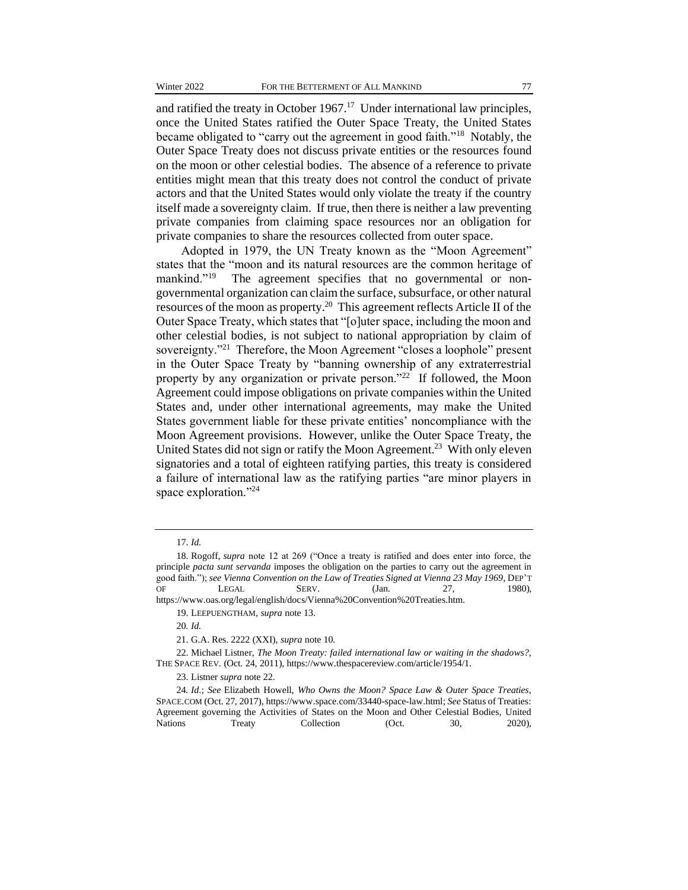and ratified the treaty in October  $1967<sup>17</sup>$  Under international law principles, once the United States ratified the Outer Space Treaty, the United States became obligated to "carry out the agreement in good faith."<sup>18</sup> Notably, the Outer Space Treaty does not discuss private entities or the resources found on the moon or other celestial bodies. The absence of a reference to private entities might mean that this treaty does not control the conduct of private actors and that the United States would only violate the treaty if the country itself made a sovereignty claim. If true, then there is neither a law preventing private companies from claiming space resources nor an obligation for private companies to share the resources collected from outer space.

Adopted in 1979, the UN Treaty known as the "Moon Agreement" states that the "moon and its natural resources are the common heritage of mankind."<sup>19</sup> The agreement specifies that no governmental or nongovernmental organization can claim the surface, subsurface, or other natural resources of the moon as property.<sup>20</sup> This agreement reflects Article II of the Outer Space Treaty, which states that "[o]uter space, including the moon and other celestial bodies, is not subject to national appropriation by claim of sovereignty."<sup>21</sup> Therefore, the Moon Agreement "closes a loophole" present in the Outer Space Treaty by "banning ownership of any extraterrestrial property by any organization or private person."<sup>22</sup> If followed, the Moon Agreement could impose obligations on private companies within the United States and, under other international agreements, may make the United States government liable for these private entities' noncompliance with the Moon Agreement provisions. However, unlike the Outer Space Treaty, the United States did not sign or ratify the Moon Agreement.<sup>23</sup> With only eleven signatories and a total of eighteen ratifying parties, this treaty is considered a failure of international law as the ratifying parties "are minor players in space exploration."<sup>24</sup>

<sup>17.</sup> *Id.*

<sup>18.</sup> Rogoff, *supra* note 12 at 269 ("Once a treaty is ratified and does enter into force, the principle *pacta sunt servanda* imposes the obligation on the parties to carry out the agreement in good faith."); *see Vienna Convention on the Law of Treaties Signed at Vienna 23 May 1969*, DEP'T OF LEGAL SERV. (Jan. 27, 1980),

https://www.oas.org/legal/english/docs/Vienna%20Convention%20Treaties.htm.

<sup>19.</sup> LEEPUENGTHAM, *supra* note 13.

<sup>20</sup>*. Id.*

<sup>21.</sup> G.A. Res. 2222 (XXI), *supra* note 10.

<sup>22.</sup> Michael Listner, *The Moon Treaty: failed international law or waiting in the shadows?*, THE SPACE REV. (Oct. 24, 2011), https://www.thespacereview.com/article/1954/1.

<sup>23.</sup> Listner *supra* note 22.

<sup>24</sup>*. Id*.; *See* Elizabeth Howell, *Who Owns the Moon? Space Law & Outer Space Treaties*, SPACE.COM (Oct. 27, 2017), https://www.space.com/33440-space-law.html; *See* Status of Treaties: Agreement governing the Activities of States on the Moon and Other Celestial Bodies, United Nations Treaty Collection (Oct. 30, 2020),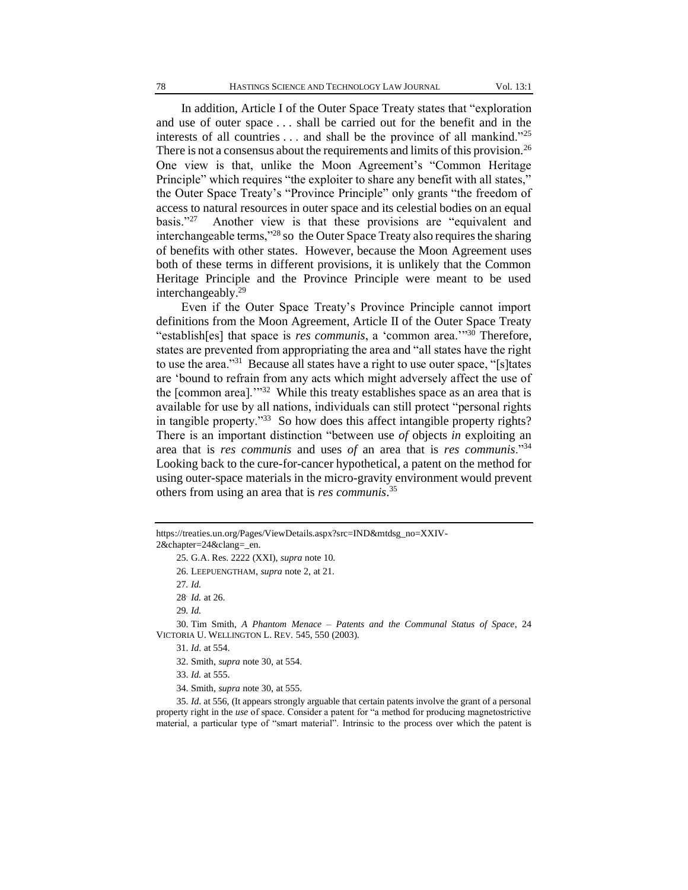In addition, Article I of the Outer Space Treaty states that "exploration and use of outer space . . . shall be carried out for the benefit and in the interests of all countries  $\dots$  and shall be the province of all mankind."<sup>25</sup> There is not a consensus about the requirements and limits of this provision.<sup>26</sup> One view is that, unlike the Moon Agreement's "Common Heritage Principle" which requires "the exploiter to share any benefit with all states," the Outer Space Treaty's "Province Principle" only grants "the freedom of access to natural resources in outer space and its celestial bodies on an equal basis." $27$  Another view is that these provisions are "equivalent and interchangeable terms,"<sup>28</sup> so the Outer Space Treaty also requires the sharing of benefits with other states. However, because the Moon Agreement uses both of these terms in different provisions, it is unlikely that the Common Heritage Principle and the Province Principle were meant to be used interchangeably.<sup>29</sup>

Even if the Outer Space Treaty's Province Principle cannot import definitions from the Moon Agreement, Article II of the Outer Space Treaty "establish[es] that space is *res communis*, a 'common area.'"<sup>30</sup> Therefore, states are prevented from appropriating the area and "all states have the right to use the area."<sup>31</sup> Because all states have a right to use outer space, "[s] tates are 'bound to refrain from any acts which might adversely affect the use of the [common area]."<sup>32</sup> While this treaty establishes space as an area that is available for use by all nations, individuals can still protect "personal rights in tangible property."<sup>33</sup> So how does this affect intangible property rights? There is an important distinction "between use *of* objects *in* exploiting an area that is *res communis* and uses *of* an area that is *res communis*."<sup>34</sup> Looking back to the cure-for-cancer hypothetical, a patent on the method for using outer-space materials in the micro-gravity environment would prevent others from using an area that is *res communis*. 35

29*. Id.*

30. Tim Smith, *A Phantom Menace – Patents and the Communal Status of Space*, 24 VICTORIA U. WELLINGTON L. REV. 545, 550 (2003).

31. *Id*. at 554.

32. Smith, *supra* note 30, at 554.

33. *Id.* at 555.

34. Smith, *supra* note 30, at 555.

35. *Id*. at 556, (It appears strongly arguable that certain patents involve the grant of a personal property right in the *use* of space. Consider a patent for "a method for producing magnetostrictive material, a particular type of "smart material". Intrinsic to the process over which the patent is

https://treaties.un.org/Pages/ViewDetails.aspx?src=IND&mtdsg\_no=XXIV-2&chapter=24&clang=\_en.

<sup>25.</sup> G.A. Res. 2222 (XXI), *supra* note 10.

<sup>26.</sup> LEEPUENGTHAM, *supra* note 2, at 21.

<sup>27</sup>*. Id.*

<sup>28</sup>. *Id.* at 26.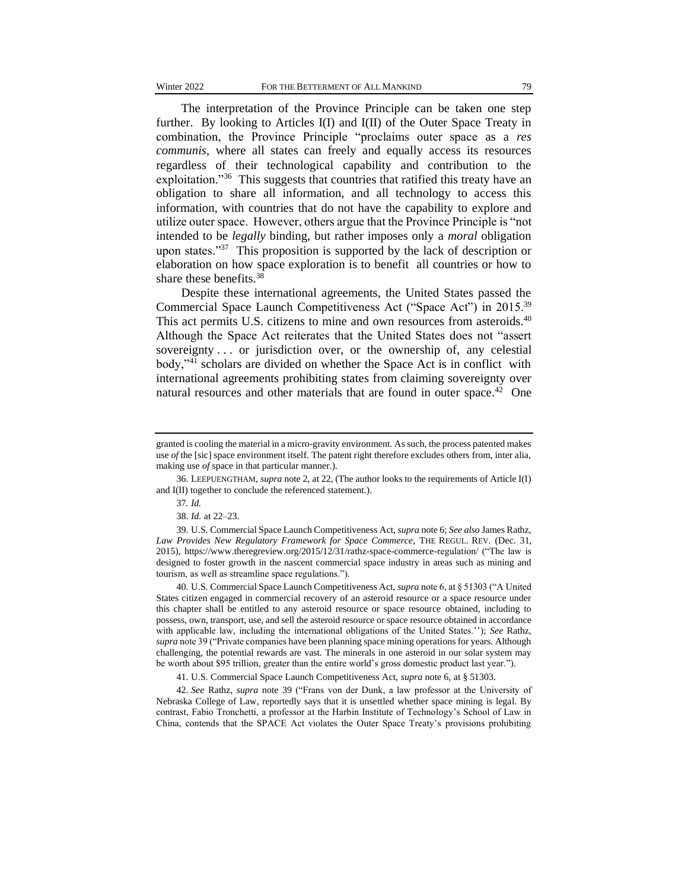The interpretation of the Province Principle can be taken one step further. By looking to Articles I(I) and I(II) of the Outer Space Treaty in combination, the Province Principle "proclaims outer space as a *res communis*, where all states can freely and equally access its resources regardless of their technological capability and contribution to the exploitation."<sup>36</sup> This suggests that countries that ratified this treaty have an obligation to share all information, and all technology to access this information, with countries that do not have the capability to explore and utilize outer space. However, others argue that the Province Principle is "not intended to be *legally* binding, but rather imposes only a *moral* obligation upon states."<sup>37</sup> This proposition is supported by the lack of description or elaboration on how space exploration is to benefit all countries or how to share these benefits. $38$ 

Despite these international agreements, the United States passed the Commercial Space Launch Competitiveness Act ("Space Act") in 2015.<sup>39</sup> This act permits U.S. citizens to mine and own resources from asteroids.<sup>40</sup> Although the Space Act reiterates that the United States does not "assert sovereignty . . . or jurisdiction over, or the ownership of, any celestial body,"<sup>41</sup> scholars are divided on whether the Space Act is in conflict with international agreements prohibiting states from claiming sovereignty over natural resources and other materials that are found in outer space.<sup>42</sup> One

40. U.S. Commercial Space Launch Competitiveness Act, *supra* note 6, at § 51303 ("A United States citizen engaged in commercial recovery of an asteroid resource or a space resource under this chapter shall be entitled to any asteroid resource or space resource obtained, including to possess, own, transport, use, and sell the asteroid resource or space resource obtained in accordance with applicable law, including the international obligations of the United States.''); *See* Rathz, *supra* note 39 ("Private companies have been planning space mining operations for years. Although challenging, the potential rewards are vast. The minerals in one asteroid in our solar system may be worth about \$95 trillion, greater than the entire world's gross domestic product last year.").

41. U.S. Commercial Space Launch Competitiveness Act, *supra* note 6, at § 51303.

42. *See* Rathz, *supra* note 39 ("Frans von der Dunk, a law professor at the University of Nebraska College of Law, reportedly says that it is unsettled whether space mining is legal. By contrast, Fabio Tronchetti, a professor at the Harbin Institute of Technology's School of Law in China, contends that the SPACE Act violates the Outer Space Treaty's provisions prohibiting

granted is cooling the material in a micro-gravity environment. As such, the process patented makes use *of* the [sic] space environment itself. The patent right therefore excludes others from, inter alia, making use *of* space in that particular manner.).

<sup>36.</sup> LEEPUENGTHAM, *supra* note 2, at 22, (The author looks to the requirements of Article I(I) and I(II) together to conclude the referenced statement.).

<sup>37</sup>*. Id.*

<sup>38.</sup> *Id.* at 22–23.

<sup>39.</sup> U.S. Commercial Space Launch Competitiveness Act, *supra* note 6; *See also* James Rathz, *Law Provides New Regulatory Framework for Space Commerce*, THE REGUL. REV. (Dec. 31, 2015), https://www.theregreview.org/2015/12/31/rathz-space-commerce-regulation/ ("The law is designed to foster growth in the nascent commercial space industry in areas such as mining and tourism, as well as streamline space regulations.").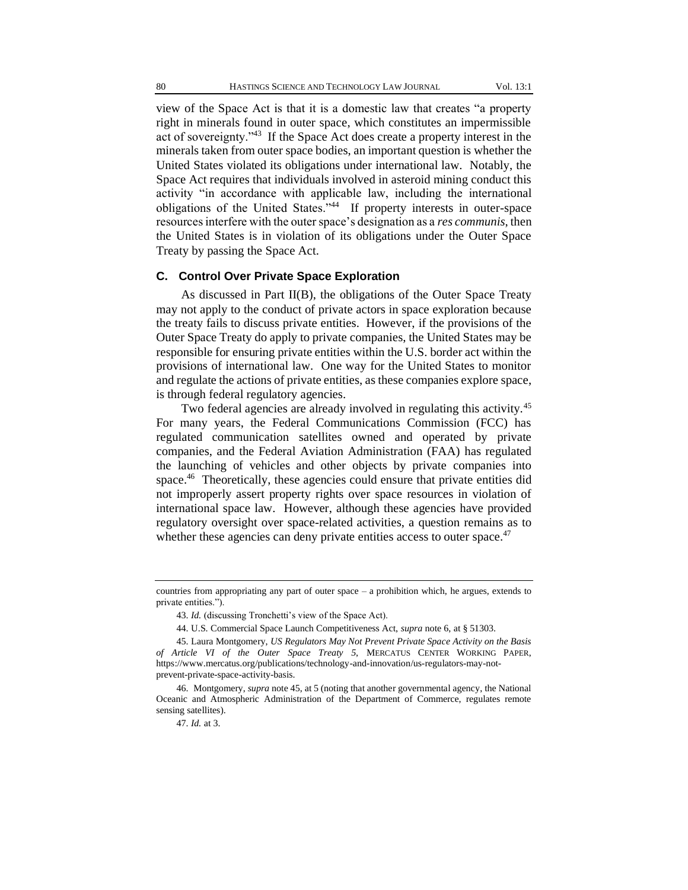view of the Space Act is that it is a domestic law that creates "a property right in minerals found in outer space, which constitutes an impermissible act of sovereignty."<sup>43</sup> If the Space Act does create a property interest in the minerals taken from outer space bodies, an important question is whether the United States violated its obligations under international law. Notably, the Space Act requires that individuals involved in asteroid mining conduct this activity "in accordance with applicable law, including the international obligations of the United States."<sup>44</sup> If property interests in outer-space resources interfere with the outer space's designation as a *res communis*, then the United States is in violation of its obligations under the Outer Space Treaty by passing the Space Act.

#### **C. Control Over Private Space Exploration**

As discussed in Part II(B), the obligations of the Outer Space Treaty may not apply to the conduct of private actors in space exploration because the treaty fails to discuss private entities. However, if the provisions of the Outer Space Treaty do apply to private companies, the United States may be responsible for ensuring private entities within the U.S. border act within the provisions of international law. One way for the United States to monitor and regulate the actions of private entities, as these companies explore space, is through federal regulatory agencies.

Two federal agencies are already involved in regulating this activity.<sup>45</sup> For many years, the Federal Communications Commission (FCC) has regulated communication satellites owned and operated by private companies, and the Federal Aviation Administration (FAA) has regulated the launching of vehicles and other objects by private companies into space.<sup>46</sup> Theoretically, these agencies could ensure that private entities did not improperly assert property rights over space resources in violation of international space law. However, although these agencies have provided regulatory oversight over space-related activities, a question remains as to whether these agencies can deny private entities access to outer space.<sup>47</sup>

countries from appropriating any part of outer space  $-$  a prohibition which, he argues, extends to private entities.").

<sup>43.</sup> *Id.* (discussing Tronchetti's view of the Space Act).

<sup>44.</sup> U.S. Commercial Space Launch Competitiveness Act, *supra* note 6, at § 51303.

<sup>45.</sup> Laura Montgomery, *US Regulators May Not Prevent Private Space Activity on the Basis of Article VI of the Outer Space Treaty 5*, MERCATUS CENTER WORKING PAPER, https://www.mercatus.org/publications/technology-and-innovation/us-regulators-may-notprevent-private-space-activity-basis.

<sup>46.</sup> Montgomery, *supra* note 45, at 5 (noting that another governmental agency, the National Oceanic and Atmospheric Administration of the Department of Commerce, regulates remote sensing satellites).

<sup>47.</sup> *Id.* at 3.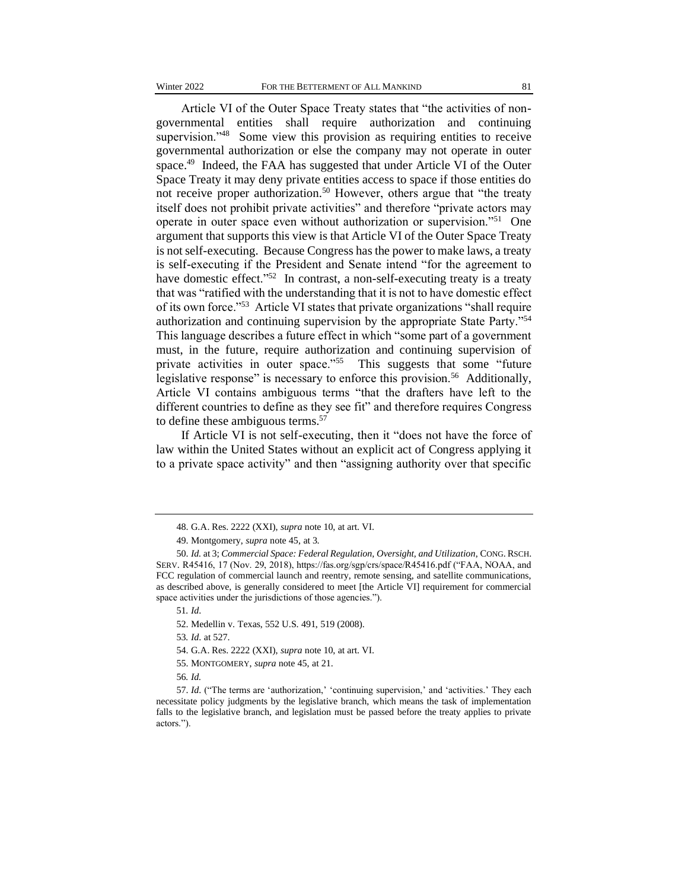Article VI of the Outer Space Treaty states that "the activities of nongovernmental entities shall require authorization and continuing supervision."<sup>48</sup> Some view this provision as requiring entities to receive governmental authorization or else the company may not operate in outer space.<sup>49</sup> Indeed, the FAA has suggested that under Article VI of the Outer Space Treaty it may deny private entities access to space if those entities do not receive proper authorization.<sup>50</sup> However, others argue that "the treaty itself does not prohibit private activities" and therefore "private actors may operate in outer space even without authorization or supervision."<sup>51</sup> One argument that supports this view is that Article VI of the Outer Space Treaty is not self-executing. Because Congress has the power to make laws, a treaty is self-executing if the President and Senate intend "for the agreement to have domestic effect."<sup>52</sup> In contrast, a non-self-executing treaty is a treaty that was "ratified with the understanding that it is not to have domestic effect of its own force."<sup>53</sup> Article VI states that private organizations "shall require authorization and continuing supervision by the appropriate State Party."<sup>54</sup> This language describes a future effect in which "some part of a government must, in the future, require authorization and continuing supervision of private activities in outer space."<sup>55</sup> This suggests that some "future legislative response" is necessary to enforce this provision.<sup>56</sup> Additionally, Article VI contains ambiguous terms "that the drafters have left to the different countries to define as they see fit" and therefore requires Congress to define these ambiguous terms.<sup>57</sup>

If Article VI is not self-executing, then it "does not have the force of law within the United States without an explicit act of Congress applying it to a private space activity" and then "assigning authority over that specific

<sup>48.</sup> G.A. Res. 2222 (XXI), *supra* note 10, at art. VI.

<sup>49.</sup> Montgomery, *supra* note 45, at 3.

<sup>50.</sup> *Id.* at 3; *Commercial Space: Federal Regulation, Oversight, and Utilization*, CONG. RSCH. SERV. R45416, 17 (Nov. 29, 2018), https://fas.org/sgp/crs/space/R45416.pdf ("FAA, NOAA, and FCC regulation of commercial launch and reentry, remote sensing, and satellite communications, as described above, is generally considered to meet [the Article VI] requirement for commercial space activities under the jurisdictions of those agencies.").

<sup>51</sup>*. Id*.

<sup>52.</sup> Medellin v. Texas, 552 U.S. 491, 519 (2008).

<sup>53</sup>*. Id*. at 527.

<sup>54.</sup> G.A. Res. 2222 (XXI), *supra* note 10, at art. VI.

<sup>55.</sup> MONTGOMERY, *supra* note 45, at 21.

<sup>56</sup>*. Id.*

<sup>57.</sup> *Id*. ("The terms are 'authorization,' 'continuing supervision,' and 'activities.' They each necessitate policy judgments by the legislative branch, which means the task of implementation falls to the legislative branch, and legislation must be passed before the treaty applies to private actors.").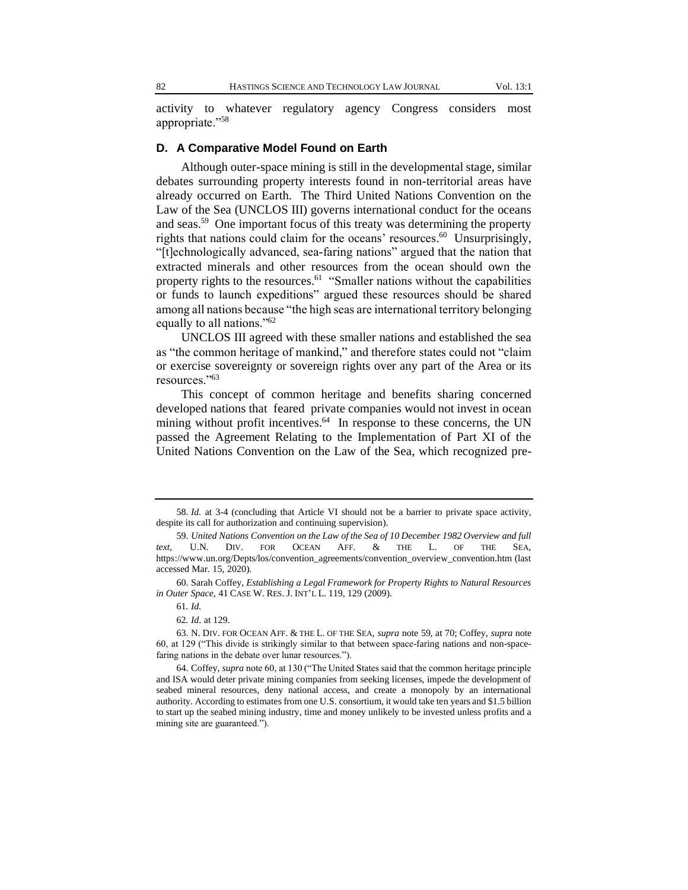activity to whatever regulatory agency Congress considers most appropriate."<sup>58</sup>

#### **D. A Comparative Model Found on Earth**

Although outer-space mining is still in the developmental stage, similar debates surrounding property interests found in non-territorial areas have already occurred on Earth. The Third United Nations Convention on the Law of the Sea (UNCLOS III) governs international conduct for the oceans and seas.<sup>59</sup> One important focus of this treaty was determining the property rights that nations could claim for the oceans' resources. 60 Unsurprisingly, "[t]echnologically advanced, sea-faring nations" argued that the nation that extracted minerals and other resources from the ocean should own the property rights to the resources.<sup>61</sup> "Smaller nations without the capabilities or funds to launch expeditions" argued these resources should be shared among all nations because "the high seas are international territory belonging equally to all nations."<sup>62</sup>

UNCLOS III agreed with these smaller nations and established the sea as "the common heritage of mankind," and therefore states could not "claim or exercise sovereignty or sovereign rights over any part of the Area or its resources."<sup>63</sup>

This concept of common heritage and benefits sharing concerned developed nations that feared private companies would not invest in ocean mining without profit incentives.<sup>64</sup> In response to these concerns, the UN passed the Agreement Relating to the Implementation of Part XI of the United Nations Convention on the Law of the Sea, which recognized pre-

<sup>58.</sup> *Id.* at 3-4 (concluding that Article VI should not be a barrier to private space activity, despite its call for authorization and continuing supervision).

<sup>59.</sup> *United Nations Convention on the Law of the Sea of 10 December 1982 Overview and full text*, U.N. DIV. FOR OCEAN AFF. & THE L. OF THE SEA, https://www.un.org/Depts/los/convention\_agreements/convention\_overview\_convention.htm (last accessed Mar. 15, 2020).

<sup>60.</sup> Sarah Coffey, *Establishing a Legal Framework for Property Rights to Natural Resources in Outer Space,* 41 CASE W. RES. J. INT'L L. 119, 129 (2009).

<sup>61</sup>*. Id.*

<sup>62</sup>*. Id*. at 129.

<sup>63.</sup> N. DIV. FOR OCEAN AFF. & THE L. OF THE SEA, *supra* note 59, at 70; Coffey, *supra* note 60, at 129 ("This divide is strikingly similar to that between space-faring nations and non-spacefaring nations in the debate over lunar resources.").

<sup>64.</sup> Coffey, *supra* note 60, at 130 ("The United States said that the common heritage principle and ISA would deter private mining companies from seeking licenses, impede the development of seabed mineral resources, deny national access, and create a monopoly by an international authority. According to estimates from one U.S. consortium, it would take ten years and \$1.5 billion to start up the seabed mining industry, time and money unlikely to be invested unless profits and a mining site are guaranteed.").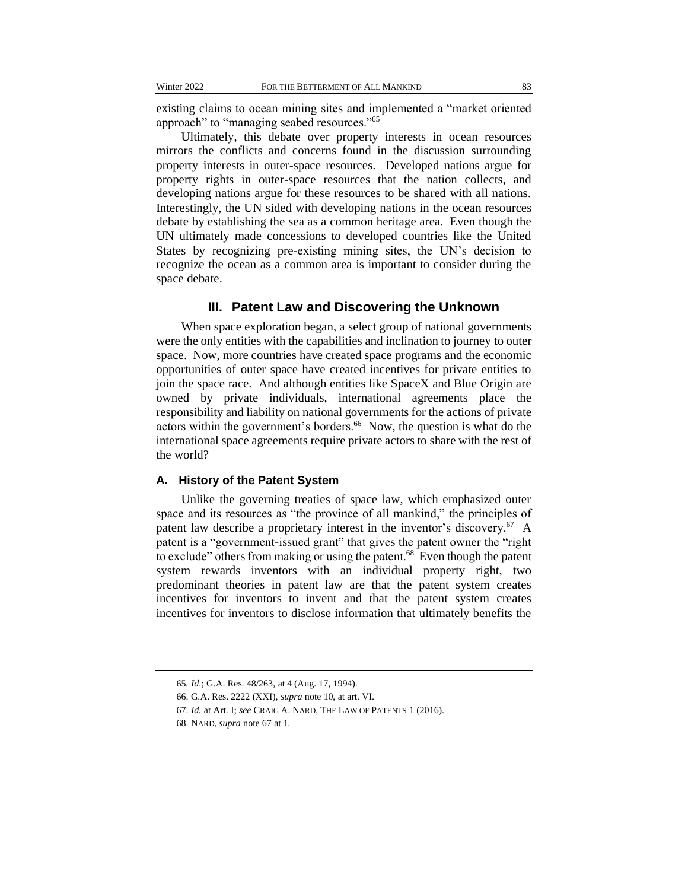existing claims to ocean mining sites and implemented a "market oriented approach" to "managing seabed resources."<sup>65</sup>

Ultimately, this debate over property interests in ocean resources mirrors the conflicts and concerns found in the discussion surrounding property interests in outer-space resources. Developed nations argue for property rights in outer-space resources that the nation collects, and developing nations argue for these resources to be shared with all nations. Interestingly, the UN sided with developing nations in the ocean resources debate by establishing the sea as a common heritage area. Even though the UN ultimately made concessions to developed countries like the United States by recognizing pre-existing mining sites, the UN's decision to recognize the ocean as a common area is important to consider during the space debate.

### **III. Patent Law and Discovering the Unknown**

When space exploration began, a select group of national governments were the only entities with the capabilities and inclination to journey to outer space. Now, more countries have created space programs and the economic opportunities of outer space have created incentives for private entities to join the space race. And although entities like SpaceX and Blue Origin are owned by private individuals, international agreements place the responsibility and liability on national governments for the actions of private actors within the government's borders.<sup>66</sup> Now, the question is what do the international space agreements require private actors to share with the rest of the world?

#### **A. History of the Patent System**

Unlike the governing treaties of space law, which emphasized outer space and its resources as "the province of all mankind," the principles of patent law describe a proprietary interest in the inventor's discovery.<sup>67</sup> A patent is a "government-issued grant" that gives the patent owner the "right to exclude" others from making or using the patent. $68$  Even though the patent system rewards inventors with an individual property right, two predominant theories in patent law are that the patent system creates incentives for inventors to invent and that the patent system creates incentives for inventors to disclose information that ultimately benefits the

<sup>65</sup>*. Id*.; G.A. Res. 48/263, at 4 (Aug. 17, 1994).

<sup>66.</sup> G.A. Res. 2222 (XXI), *supra* note 10, at art. VI.

<sup>67.</sup> *Id.* at Art. I; *see* CRAIG A. NARD, THE LAW OF PATENTS 1 (2016).

<sup>68.</sup> NARD, *supra* note 67 at 1.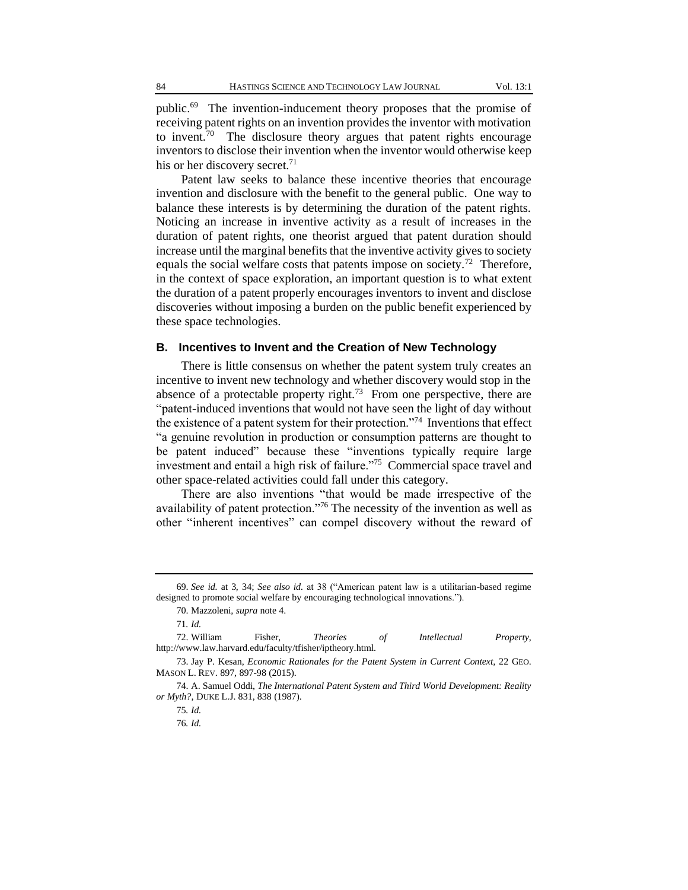public.<sup>69</sup> The invention-inducement theory proposes that the promise of receiving patent rights on an invention provides the inventor with motivation to invent.<sup>70</sup> The disclosure theory argues that patent rights encourage inventors to disclose their invention when the inventor would otherwise keep his or her discovery secret.<sup>71</sup>

Patent law seeks to balance these incentive theories that encourage invention and disclosure with the benefit to the general public. One way to balance these interests is by determining the duration of the patent rights. Noticing an increase in inventive activity as a result of increases in the duration of patent rights, one theorist argued that patent duration should increase until the marginal benefits that the inventive activity gives to society equals the social welfare costs that patents impose on society.<sup>72</sup> Therefore, in the context of space exploration, an important question is to what extent the duration of a patent properly encourages inventors to invent and disclose discoveries without imposing a burden on the public benefit experienced by these space technologies.

#### **B. Incentives to Invent and the Creation of New Technology**

There is little consensus on whether the patent system truly creates an incentive to invent new technology and whether discovery would stop in the absence of a protectable property right.<sup>73</sup> From one perspective, there are "patent-induced inventions that would not have seen the light of day without the existence of a patent system for their protection."<sup>74</sup> Inventions that effect "a genuine revolution in production or consumption patterns are thought to be patent induced" because these "inventions typically require large investment and entail a high risk of failure."<sup>75</sup> Commercial space travel and other space-related activities could fall under this category.

There are also inventions "that would be made irrespective of the availability of patent protection."<sup>76</sup> The necessity of the invention as well as other "inherent incentives" can compel discovery without the reward of

<sup>69.</sup> *See id.* at 3, 34; *See also id.* at 38 ("American patent law is a utilitarian-based regime designed to promote social welfare by encouraging technological innovations.").

<sup>70.</sup> Mazzoleni, *supra* note 4.

<sup>71</sup>*. Id.*

<sup>72.</sup> William Fisher, *Theories of Intellectual Property*, http://www.law.harvard.edu/faculty/tfisher/iptheory.html.

<sup>73.</sup> Jay P. Kesan, *Economic Rationales for the Patent System in Current Context*, 22 GEO. MASON L. REV. 897, 897-98 (2015).

<sup>74.</sup> A. Samuel Oddi, *The International Patent System and Third World Development: Reality or Myth?*, DUKE L.J. 831, 838 (1987).

<sup>75</sup>*. Id.*

<sup>76</sup>*. Id.*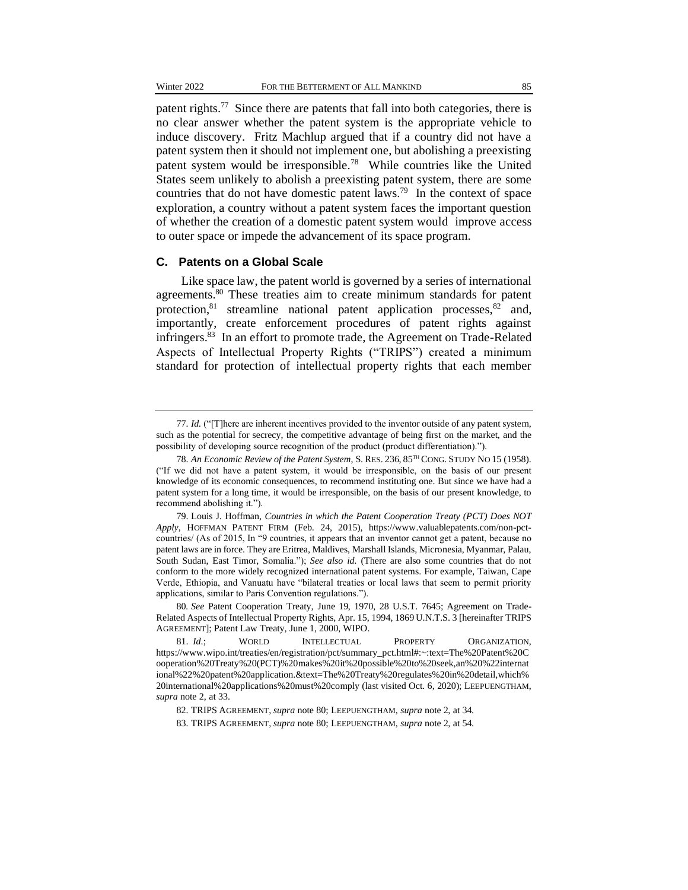patent rights.<sup>77</sup> Since there are patents that fall into both categories, there is no clear answer whether the patent system is the appropriate vehicle to induce discovery. Fritz Machlup argued that if a country did not have a patent system then it should not implement one, but abolishing a preexisting patent system would be irresponsible.<sup>78</sup> While countries like the United States seem unlikely to abolish a preexisting patent system, there are some countries that do not have domestic patent laws.<sup>79</sup> In the context of space exploration, a country without a patent system faces the important question of whether the creation of a domestic patent system would improve access to outer space or impede the advancement of its space program.

#### **C. Patents on a Global Scale**

Like space law, the patent world is governed by a series of international agreements.<sup>80</sup> These treaties aim to create minimum standards for patent protection, $81$  streamline national patent application processes, $82$  and, importantly, create enforcement procedures of patent rights against infringers.<sup>83</sup> In an effort to promote trade, the Agreement on Trade-Related Aspects of Intellectual Property Rights ("TRIPS") created a minimum standard for protection of intellectual property rights that each member

<sup>77.</sup> *Id.* ("[T]here are inherent incentives provided to the inventor outside of any patent system, such as the potential for secrecy, the competitive advantage of being first on the market, and the possibility of developing source recognition of the product (product differentiation).").

<sup>78.</sup> *An Economic Review of the Patent System*, S. RES. 236, 85TH CONG. STUDY NO 15 (1958). ("If we did not have a patent system, it would be irresponsible, on the basis of our present knowledge of its economic consequences, to recommend instituting one. But since we have had a patent system for a long time, it would be irresponsible, on the basis of our present knowledge, to recommend abolishing it.").

<sup>79.</sup> Louis J. Hoffman, *Countries in which the Patent Cooperation Treaty (PCT) Does NOT Apply*, HOFFMAN PATENT FIRM (Feb. 24, 2015), https://www.valuablepatents.com/non-pctcountries/ (As of 2015, In "9 countries, it appears that an inventor cannot get a patent, because no patent laws are in force. They are Eritrea, Maldives, Marshall Islands, Micronesia, Myanmar, Palau, South Sudan, East Timor, Somalia."); *See also id.* (There are also some countries that do not conform to the more widely recognized international patent systems. For example, Taiwan, Cape Verde, Ethiopia, and Vanuatu have "bilateral treaties or local laws that seem to permit priority applications, similar to Paris Convention regulations.").

<sup>80</sup>*. See* Patent Cooperation Treaty, June 19, 1970, 28 U.S.T. 7645; Agreement on Trade-Related Aspects of Intellectual Property Rights, Apr. 15, 1994, 1869 U.N.T.S. 3 [hereinafter TRIPS AGREEMENT]; Patent Law Treaty, June 1, 2000, WIPO.

<sup>81.</sup> *Id*.; WORLD INTELLECTUAL PROPERTY ORGANIZATION, https://www.wipo.int/treaties/en/registration/pct/summary\_pct.html#:~:text=The%20Patent%20C ooperation%20Treaty%20(PCT)%20makes%20it%20possible%20to%20seek,an%20%22internat ional%22%20patent%20application.&text=The%20Treaty%20regulates%20in%20detail,which% 20international%20applications%20must%20comply (last visited Oct. 6, 2020); LEEPUENGTHAM, *supra* note 2, at 33.

<sup>82.</sup> TRIPS AGREEMENT, *supra* note 80; LEEPUENGTHAM, *supra* note 2, at 34.

<sup>83.</sup> TRIPS AGREEMENT, *supra* note 80; LEEPUENGTHAM, *supra* note 2, at 54.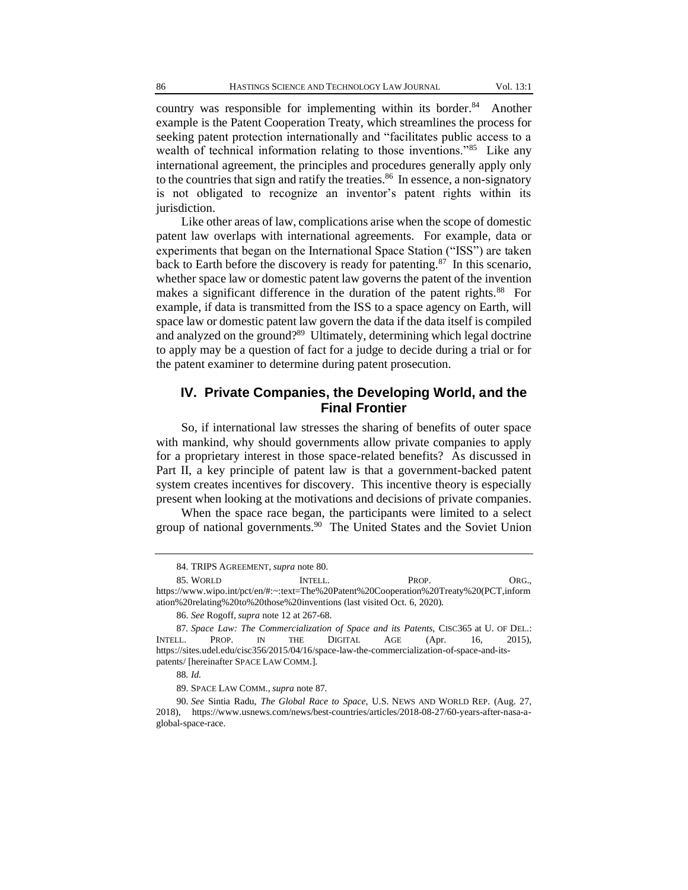country was responsible for implementing within its border.<sup>84</sup> Another example is the Patent Cooperation Treaty, which streamlines the process for seeking patent protection internationally and "facilitates public access to a wealth of technical information relating to those inventions."<sup>85</sup> Like any international agreement, the principles and procedures generally apply only to the countries that sign and ratify the treaties.<sup>86</sup> In essence, a non-signatory is not obligated to recognize an inventor's patent rights within its jurisdiction.

Like other areas of law, complications arise when the scope of domestic patent law overlaps with international agreements. For example, data or experiments that began on the International Space Station ("ISS") are taken back to Earth before the discovery is ready for patenting.<sup>87</sup> In this scenario, whether space law or domestic patent law governs the patent of the invention makes a significant difference in the duration of the patent rights.<sup>88</sup> For example, if data is transmitted from the ISS to a space agency on Earth, will space law or domestic patent law govern the data if the data itself is compiled and analyzed on the ground?<sup>89</sup> Ultimately, determining which legal doctrine to apply may be a question of fact for a judge to decide during a trial or for the patent examiner to determine during patent prosecution.

# **IV. Private Companies, the Developing World, and the Final Frontier**

So, if international law stresses the sharing of benefits of outer space with mankind, why should governments allow private companies to apply for a proprietary interest in those space-related benefits? As discussed in Part II, a key principle of patent law is that a government-backed patent system creates incentives for discovery. This incentive theory is especially present when looking at the motivations and decisions of private companies.

When the space race began, the participants were limited to a select group of national governments.<sup>90</sup> The United States and the Soviet Union

86. *See* Rogoff, *supra* note 12 at 267-68.

<sup>84.</sup> TRIPS AGREEMENT, *supra* note 80.

<sup>85.</sup> WORLD INTELL. PROP. ORG., https://www.wipo.int/pct/en/#:~:text=The%20Patent%20Cooperation%20Treaty%20(PCT,inform ation%20relating%20to%20those%20inventions (last visited Oct. 6, 2020).

<sup>87</sup>*. Space Law: The Commercialization of Space and its Patents*, CISC365 at U. OF DEL.: INTELL. PROP. IN THE DIGITAL AGE (Apr. 16, 2015), https://sites.udel.edu/cisc356/2015/04/16/space-law-the-commercialization-of-space-and-itspatents/ [hereinafter SPACE LAW COMM.].

<sup>88</sup>*. Id.*

<sup>89.</sup> SPACE LAW COMM., *supra* note 87.

<sup>90.</sup> *See* Sintia Radu, *The Global Race to Space*, U.S. NEWS AND WORLD REP. (Aug. 27, 2018), https://www.usnews.com/news/best-countries/articles/2018-08-27/60-years-after-nasa-aglobal-space-race.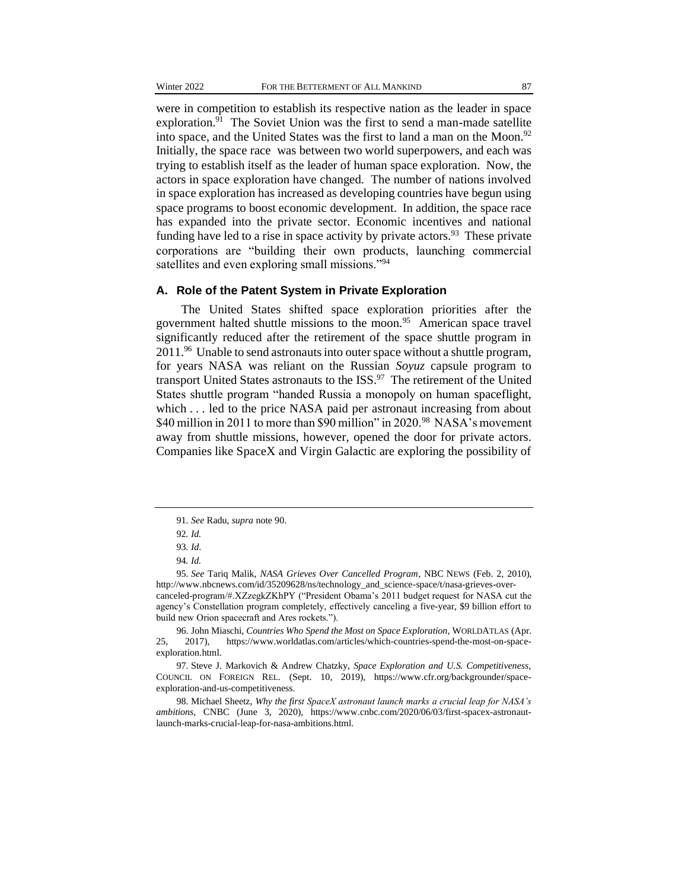were in competition to establish its respective nation as the leader in space exploration.<sup>91</sup> The Soviet Union was the first to send a man-made satellite into space, and the United States was the first to land a man on the Moon. $92$ Initially, the space race was between two world superpowers, and each was trying to establish itself as the leader of human space exploration. Now, the actors in space exploration have changed. The number of nations involved in space exploration has increased as developing countries have begun using space programs to boost economic development. In addition, the space race has expanded into the private sector. Economic incentives and national funding have led to a rise in space activity by private actors.<sup>93</sup> These private corporations are "building their own products, launching commercial satellites and even exploring small missions."<sup>94</sup>

#### **A. Role of the Patent System in Private Exploration**

The United States shifted space exploration priorities after the government halted shuttle missions to the moon.<sup>95</sup> American space travel significantly reduced after the retirement of the space shuttle program in 2011.<sup>96</sup> Unable to send astronauts into outer space without a shuttle program, for years NASA was reliant on the Russian *Soyuz* capsule program to transport United States astronauts to the ISS.<sup>97</sup> The retirement of the United States shuttle program "handed Russia a monopoly on human spaceflight, which . . . led to the price NASA paid per astronaut increasing from about \$40 million in 2011 to more than \$90 million" in 2020.<sup>98</sup> NASA's movement away from shuttle missions, however, opened the door for private actors. Companies like SpaceX and Virgin Galactic are exploring the possibility of

<sup>91.</sup> *See* Radu, *supra* note 90.

<sup>92</sup>*. Id.*

<sup>93</sup>*. Id*.

<sup>94</sup>*. Id.*

<sup>95.</sup> *See* Tariq Malik, *NASA Grieves Over Cancelled Program*, NBC NEWS (Feb. 2, 2010), http://www.nbcnews.com/id/35209628/ns/technology\_and\_science-space/t/nasa-grieves-overcanceled-program/#.XZzegkZKhPY ("President Obama's 2011 budget request for NASA cut the agency's Constellation program completely, effectively canceling a five-year, \$9 billion effort to build new Orion spacecraft and Ares rockets.").

<sup>96.</sup> John Miaschi, *Countries Who Spend the Most on Space Exploration*, WORLDATLAS (Apr. 25, 2017), https://www.worldatlas.com/articles/which-countries-spend-the-most-on-spaceexploration.html.

<sup>97.</sup> Steve J. Markovich & Andrew Chatzky, *Space Exploration and U.S. Competitiveness*, COUNCIL ON FOREIGN REL. (Sept. 10, 2019), https://www.cfr.org/backgrounder/spaceexploration-and-us-competitiveness.

<sup>98.</sup> Michael Sheetz, *Why the first SpaceX astronaut launch marks a crucial leap for NASA's ambitions*, CNBC (June 3, 2020), https://www.cnbc.com/2020/06/03/first-spacex-astronautlaunch-marks-crucial-leap-for-nasa-ambitions.html.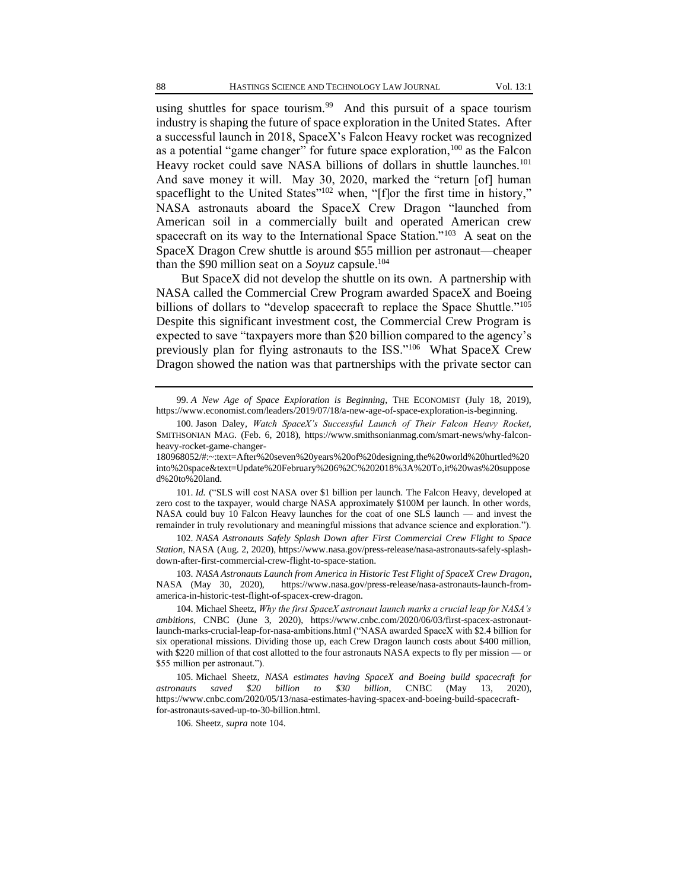using shuttles for space tourism.<sup>99</sup> And this pursuit of a space tourism industry is shaping the future of space exploration in the United States. After a successful launch in 2018, SpaceX's Falcon Heavy rocket was recognized as a potential "game changer" for future space exploration,<sup>100</sup> as the Falcon Heavy rocket could save NASA billions of dollars in shuttle launches.<sup>101</sup> And save money it will. May 30, 2020, marked the "return [of] human spaceflight to the United States"<sup>102</sup> when, "[f]or the first time in history," NASA astronauts aboard the SpaceX Crew Dragon "launched from American soil in a commercially built and operated American crew spacecraft on its way to the International Space Station."<sup>103</sup> A seat on the SpaceX Dragon Crew shuttle is around \$55 million per astronaut—cheaper than the \$90 million seat on a *Soyuz* capsule.<sup>104</sup>

But SpaceX did not develop the shuttle on its own. A partnership with NASA called the Commercial Crew Program awarded SpaceX and Boeing billions of dollars to "develop spacecraft to replace the Space Shuttle."<sup>105</sup> Despite this significant investment cost, the Commercial Crew Program is expected to save "taxpayers more than \$20 billion compared to the agency's previously plan for flying astronauts to the ISS."<sup>106</sup> What SpaceX Crew Dragon showed the nation was that partnerships with the private sector can

99. *A New Age of Space Exploration is Beginning*, THE ECONOMIST (July 18, 2019), https://www.economist.com/leaders/2019/07/18/a-new-age-of-space-exploration-is-beginning.

101. *Id.* ("SLS will cost NASA over \$1 billion per launch. The Falcon Heavy, developed at zero cost to the taxpayer, would charge NASA approximately \$100M per launch. In other words, NASA could buy 10 Falcon Heavy launches for the coat of one SLS launch — and invest the remainder in truly revolutionary and meaningful missions that advance science and exploration.").

102. *NASA Astronauts Safely Splash Down after First Commercial Crew Flight to Space Station*, NASA (Aug. 2, 2020), https://www.nasa.gov/press-release/nasa-astronauts-safely-splashdown-after-first-commercial-crew-flight-to-space-station.

103. *NASA Astronauts Launch from America in Historic Test Flight of SpaceX Crew Dragon*, NASA (May 30, 2020), https://www.nasa.gov/press-release/nasa-astronauts-launch-fromamerica-in-historic-test-flight-of-spacex-crew-dragon.

104. Michael Sheetz, *Why the first SpaceX astronaut launch marks a crucial leap for NASA's ambitions*, CNBC (June 3, 2020), https://www.cnbc.com/2020/06/03/first-spacex-astronautlaunch-marks-crucial-leap-for-nasa-ambitions.html ("NASA awarded SpaceX with \$2.4 billion for six operational missions. Dividing those up, each Crew Dragon launch costs about \$400 million, with \$220 million of that cost allotted to the four astronauts NASA expects to fly per mission — or \$55 million per astronaut.").

105. Michael Sheetz, *NASA estimates having SpaceX and Boeing build spacecraft for astronauts saved \$20 billion to \$30 billion*, CNBC (May 13, 2020), https://www.cnbc.com/2020/05/13/nasa-estimates-having-spacex-and-boeing-build-spacecraftfor-astronauts-saved-up-to-30-billion.html.

106. Sheetz, *supra* note 104.

<sup>100.</sup> Jason Daley, *Watch SpaceX's Successful Launch of Their Falcon Heavy Rocket*, SMITHSONIAN MAG. (Feb. 6, 2018), https://www.smithsonianmag.com/smart-news/why-falconheavy-rocket-game-changer-

<sup>180968052/#:~:</sup>text=After%20seven%20years%20of%20designing,the%20world%20hurtled%20 into%20space&text=Update%20February%206%2C%202018%3A%20To,it%20was%20suppose d%20to%20land.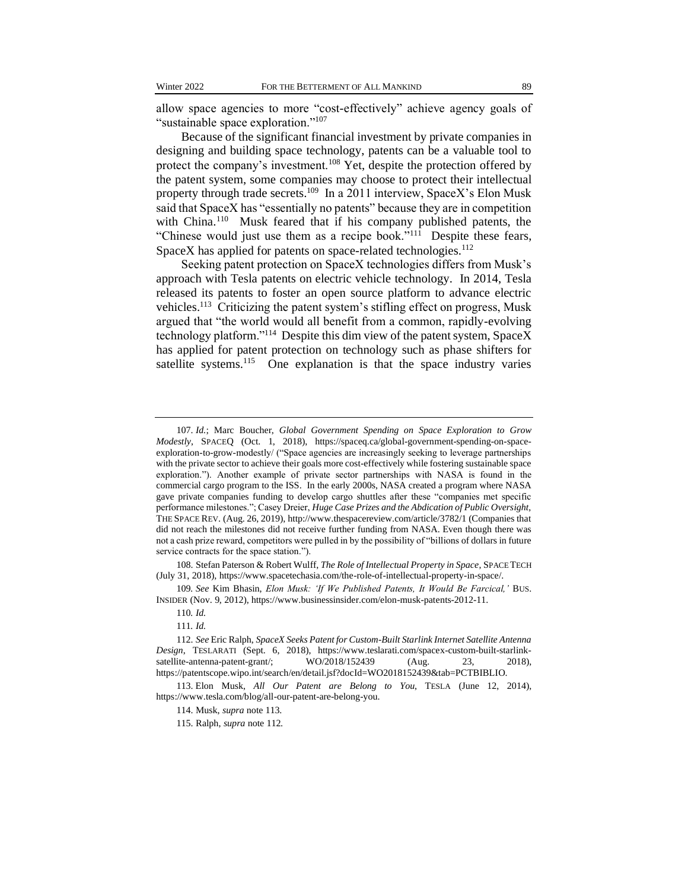allow space agencies to more "cost-effectively" achieve agency goals of "sustainable space exploration."<sup>107</sup>

Because of the significant financial investment by private companies in designing and building space technology, patents can be a valuable tool to protect the company's investment.<sup>108</sup> Yet, despite the protection offered by the patent system, some companies may choose to protect their intellectual property through trade secrets.<sup>109</sup> In a 2011 interview, SpaceX's Elon Musk said that SpaceX has "essentially no patents" because they are in competition with China.<sup>110</sup> Musk feared that if his company published patents, the "Chinese would just use them as a recipe book."<sup>111</sup> Despite these fears, SpaceX has applied for patents on space-related technologies.<sup>112</sup>

Seeking patent protection on SpaceX technologies differs from Musk's approach with Tesla patents on electric vehicle technology. In 2014, Tesla released its patents to foster an open source platform to advance electric vehicles.<sup>113</sup> Criticizing the patent system's stifling effect on progress, Musk argued that "the world would all benefit from a common, rapidly-evolving technology platform."<sup>114</sup> Despite this dim view of the patent system, SpaceX has applied for patent protection on technology such as phase shifters for satellite systems.<sup>115</sup> One explanation is that the space industry varies

108. Stefan Paterson & Robert Wulff, *The Role of Intellectual Property in Space*, SPACE TECH (July 31, 2018), https://www.spacetechasia.com/the-role-of-intellectual-property-in-space/.

109*. See* Kim Bhasin, *Elon Musk: 'If We Published Patents, It Would Be Farcical,'* BUS. INSIDER (Nov. 9, 2012), https://www.businessinsider.com/elon-musk-patents-2012-11.

<sup>107.</sup> *Id.*; Marc Boucher, *Global Government Spending on Space Exploration to Grow Modestly*, SPACEQ (Oct. 1, 2018), https://spaceq.ca/global-government-spending-on-spaceexploration-to-grow-modestly/ ("Space agencies are increasingly seeking to leverage partnerships with the private sector to achieve their goals more cost-effectively while fostering sustainable space exploration."). Another example of private sector partnerships with NASA is found in the commercial cargo program to the ISS. In the early 2000s, NASA created a program where NASA gave private companies funding to develop cargo shuttles after these "companies met specific performance milestones."; Casey Dreier, *Huge Case Prizes and the Abdication of Public Oversight*, THE SPACE REV. (Aug. 26, 2019), http://www.thespacereview.com/article/3782/1 (Companies that did not reach the milestones did not receive further funding from NASA. Even though there was not a cash prize reward, competitors were pulled in by the possibility of "billions of dollars in future service contracts for the space station.").

<sup>110</sup>*. Id.*

<sup>111</sup>*. Id.*

<sup>112.</sup> *See* Eric Ralph, *SpaceX Seeks Patent for Custom-Built Starlink Internet Satellite Antenna Design*, TESLARATI (Sept. 6, 2018), https://www.teslarati.com/spacex-custom-built-starlinksatellite-antenna-patent-grant/;  $WO/2018/152439$  (Aug. 23, 2018), https://patentscope.wipo.int/search/en/detail.jsf?docId=WO2018152439&tab=PCTBIBLIO.

<sup>113.</sup> Elon Musk, *All Our Patent are Belong to You*, TESLA (June 12, 2014), https://www.tesla.com/blog/all-our-patent-are-belong-you.

<sup>114.</sup> Musk, *supra* note 113.

<sup>115.</sup> Ralph, *supra* note 112.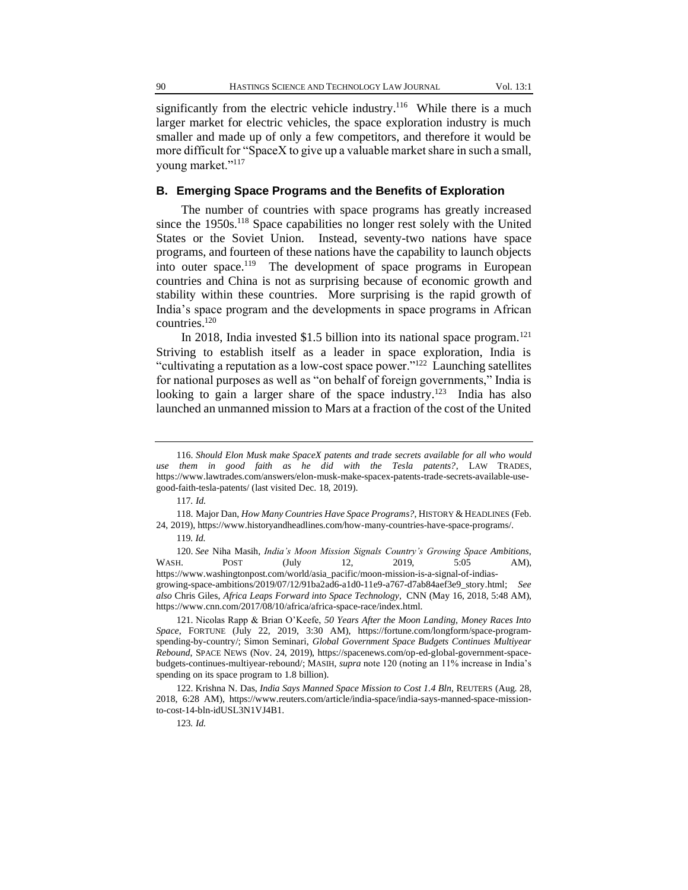significantly from the electric vehicle industry.<sup>116</sup> While there is a much larger market for electric vehicles, the space exploration industry is much smaller and made up of only a few competitors, and therefore it would be more difficult for "SpaceX to give up a valuable market share in such a small, young market."<sup>117</sup>

# **B. Emerging Space Programs and the Benefits of Exploration**

The number of countries with space programs has greatly increased since the  $1950s$ <sup>118</sup> Space capabilities no longer rest solely with the United States or the Soviet Union. Instead, seventy-two nations have space programs, and fourteen of these nations have the capability to launch objects into outer space.<sup>119</sup> The development of space programs in European countries and China is not as surprising because of economic growth and stability within these countries. More surprising is the rapid growth of India's space program and the developments in space programs in African countries.<sup>120</sup>

In 2018, India invested \$1.5 billion into its national space program.<sup>121</sup> Striving to establish itself as a leader in space exploration, India is "cultivating a reputation as a low-cost space power."<sup>122</sup> Launching satellites for national purposes as well as "on behalf of foreign governments," India is looking to gain a larger share of the space industry.<sup>123</sup> India has also launched an unmanned mission to Mars at a fraction of the cost of the United

<sup>116.</sup> *Should Elon Musk make SpaceX patents and trade secrets available for all who would use them in good faith as he did with the Tesla patents?*, LAW TRADES, https://www.lawtrades.com/answers/elon-musk-make-spacex-patents-trade-secrets-available-usegood-faith-tesla-patents/ (last visited Dec. 18, 2019).

<sup>117</sup>*. Id.*

<sup>118.</sup> Major Dan, *How Many Countries Have Space Programs?*, HISTORY & HEADLINES (Feb. 24, 2019), https://www.historyandheadlines.com/how-many-countries-have-space-programs/.

<sup>119</sup>*. Id.*

<sup>120.</sup> *See* Niha Masih, *India's Moon Mission Signals Country's Growing Space Ambitions*, WASH. POST (July 12, 2019, 5:05 AM), https://www.washingtonpost.com/world/asia\_pacific/moon-mission-is-a-signal-of-indiasgrowing-space-ambitions/2019/07/12/91ba2ad6-a1d0-11e9-a767-d7ab84aef3e9\_story.html; *See also* Chris Giles, *Africa Leaps Forward into Space Technology*, CNN (May 16, 2018, 5:48 AM), https://www.cnn.com/2017/08/10/africa/africa-space-race/index.html.

<sup>121.</sup> Nicolas Rapp & Brian O'Keefe, *50 Years After the Moon Landing, Money Races Into Space*, FORTUNE (July 22, 2019, 3:30 AM), https://fortune.com/longform/space-programspending-by-country/; Simon Seminari, *Global Government Space Budgets Continues Multiyear Rebound*, SPACE NEWS (Nov. 24, 2019), https://spacenews.com/op-ed-global-government-spacebudgets-continues-multiyear-rebound/; MASIH, *supra* note 120 (noting an 11% increase in India's spending on its space program to 1.8 billion).

<sup>122.</sup> Krishna N. Das, *India Says Manned Space Mission to Cost 1.4 Bln*, REUTERS (Aug. 28, 2018, 6:28 AM), https://www.reuters.com/article/india-space/india-says-manned-space-missionto-cost-14-bln-idUSL3N1VJ4B1.

<sup>123</sup>*. Id.*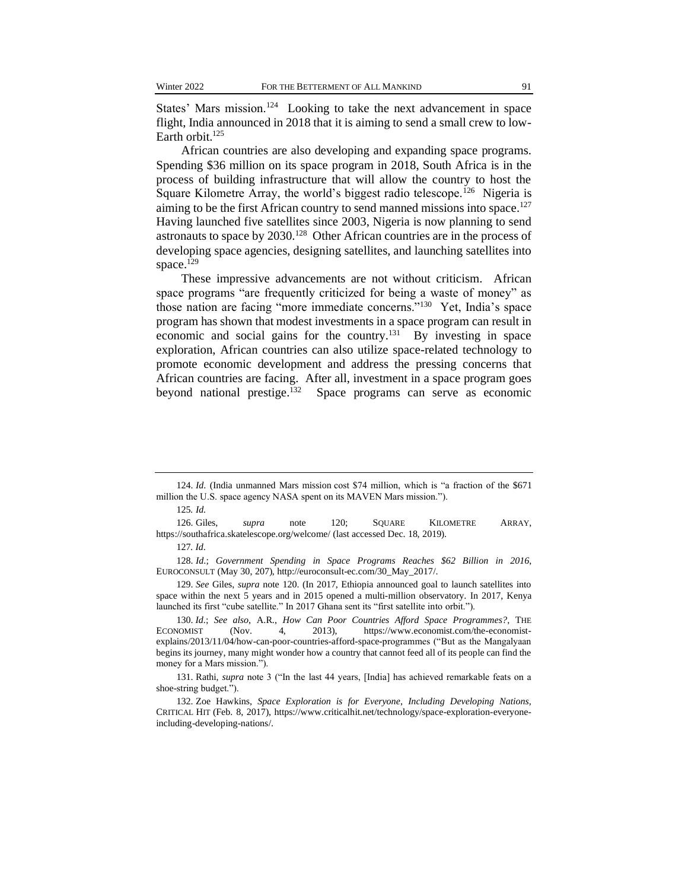States' Mars mission.<sup>124</sup> Looking to take the next advancement in space flight, India announced in 2018 that it is aiming to send a small crew to low-Earth orbit. $125$ 

African countries are also developing and expanding space programs. Spending \$36 million on its space program in 2018, South Africa is in the process of building infrastructure that will allow the country to host the Square Kilometre Array, the world's biggest radio telescope.<sup>126</sup> Nigeria is aiming to be the first African country to send manned missions into space.<sup>127</sup> Having launched five satellites since 2003, Nigeria is now planning to send astronauts to space by 2030.<sup>128</sup> Other African countries are in the process of developing space agencies, designing satellites, and launching satellites into space. $129$ 

These impressive advancements are not without criticism. African space programs "are frequently criticized for being a waste of money" as those nation are facing "more immediate concerns."<sup>130</sup> Yet, India's space program has shown that modest investments in a space program can result in economic and social gains for the country.<sup>131</sup> By investing in space exploration, African countries can also utilize space-related technology to promote economic development and address the pressing concerns that African countries are facing. After all, investment in a space program goes beyond national prestige.<sup>132</sup> Space programs can serve as economic

126. Giles, *supra* note 120; SQUARE KILOMETRE ARRAY, https://southafrica.skatelescope.org/welcome/ (last accessed Dec. 18, 2019).

127*. Id*.

128. *Id*.; *Government Spending in Space Programs Reaches \$62 Billion in 2016*, EUROCONSULT (May 30, 207), http://euroconsult-ec.com/30\_May\_2017/.

129. *See* Giles, *supra* note 120. (In 2017, Ethiopia announced goal to launch satellites into space within the next 5 years and in 2015 opened a multi-million observatory. In 2017, Kenya launched its first "cube satellite." In 2017 Ghana sent its "first satellite into orbit.").

130. *Id*.; *See also*, A.R., *How Can Poor Countries Afford Space Programmes?*, THE ECONOMIST (Nov. 4, 2013), https://www.economist.com/the-economistexplains/2013/11/04/how-can-poor-countries-afford-space-programmes ("But as the Mangalyaan begins its journey, many might wonder how a country that cannot feed all of its people can find the money for a Mars mission.").

131. Rathi, *supra* note 3 ("In the last 44 years, [India] has achieved remarkable feats on a shoe-string budget.").

132. Zoe Hawkins, *Space Exploration is for Everyone*, *Including Developing Nations,* CRITICAL HIT (Feb. 8, 2017), https://www.criticalhit.net/technology/space-exploration-everyoneincluding-developing-nations/.

<sup>124.</sup> *Id*. (India unmanned Mars mission cost \$74 million, which is "a fraction of the \$671 million the U.S. space agency NASA spent on its MAVEN Mars mission.").

<sup>125</sup>*. Id.*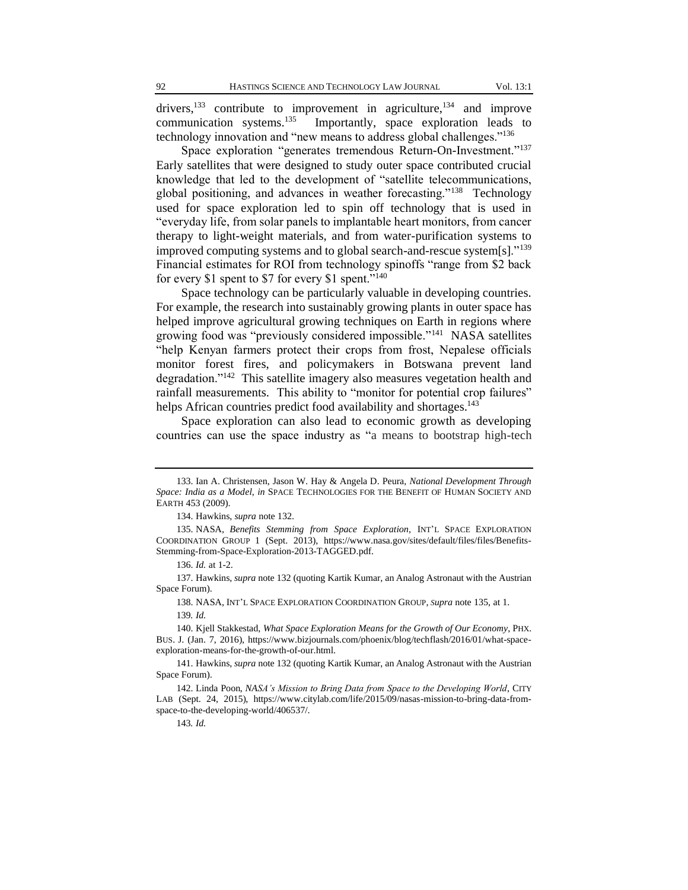drivers,<sup>133</sup> contribute to improvement in agriculture, <sup>134</sup> and improve communication systems.<sup>135</sup> Importantly, space exploration leads to technology innovation and "new means to address global challenges."<sup>136</sup>

Space exploration "generates tremendous Return-On-Investment."<sup>137</sup> Early satellites that were designed to study outer space contributed crucial knowledge that led to the development of "satellite telecommunications, global positioning, and advances in weather forecasting."<sup>138</sup> Technology used for space exploration led to spin off technology that is used in "everyday life, from solar panels to implantable heart monitors, from cancer therapy to light-weight materials, and from water-purification systems to improved computing systems and to global search-and-rescue system[s]."<sup>139</sup> Financial estimates for ROI from technology spinoffs "range from \$2 back for every \$1 spent to \$7 for every \$1 spent."<sup>140</sup>

Space technology can be particularly valuable in developing countries. For example, the research into sustainably growing plants in outer space has helped improve agricultural growing techniques on Earth in regions where growing food was "previously considered impossible."<sup>141</sup> NASA satellites "help Kenyan farmers protect their crops from frost, Nepalese officials monitor forest fires, and policymakers in Botswana prevent land degradation."<sup>142</sup> This satellite imagery also measures vegetation health and rainfall measurements. This ability to "monitor for potential crop failures" helps African countries predict food availability and shortages.<sup>143</sup>

Space exploration can also lead to economic growth as developing countries can use the space industry as "a means to bootstrap high-tech

138. NASA, INT'L SPACE EXPLORATION COORDINATION GROUP, *Supra* note 135, at 1.

<sup>133.</sup> Ian A. Christensen, Jason W. Hay & Angela D. Peura, *National Development Through Space: India as a Model*, *in* SPACE TECHNOLOGIES FOR THE BENEFIT OF HUMAN SOCIETY AND EARTH 453 (2009).

<sup>134.</sup> Hawkins, *supra* note 132.

<sup>135.</sup> NASA, *Benefits Stemming from Space Exploration*, INT'L SPACE EXPLORATION COORDINATION GROUP 1 (Sept. 2013), https://www.nasa.gov/sites/default/files/files/Benefits-Stemming-from-Space-Exploration-2013-TAGGED.pdf.

<sup>136.</sup> *Id.* at 1-2.

<sup>137.</sup> Hawkins, *supra* note 132 (quoting Kartik Kumar, an Analog Astronaut with the Austrian Space Forum).

<sup>139</sup>*. Id.*

<sup>140.</sup> Kjell Stakkestad, *What Space Exploration Means for the Growth of Our Economy*, PHX. BUS. J. (Jan. 7, 2016), https://www.bizjournals.com/phoenix/blog/techflash/2016/01/what-spaceexploration-means-for-the-growth-of-our.html.

<sup>141.</sup> Hawkins, *supra* note 132 (quoting Kartik Kumar, an Analog Astronaut with the Austrian Space Forum).

<sup>142.</sup> Linda Poon, *NASA's Mission to Bring Data from Space to the Developing World*, CITY LAB (Sept. 24, 2015), https://www.citylab.com/life/2015/09/nasas-mission-to-bring-data-fromspace-to-the-developing-world/406537/.

<sup>143</sup>*. Id.*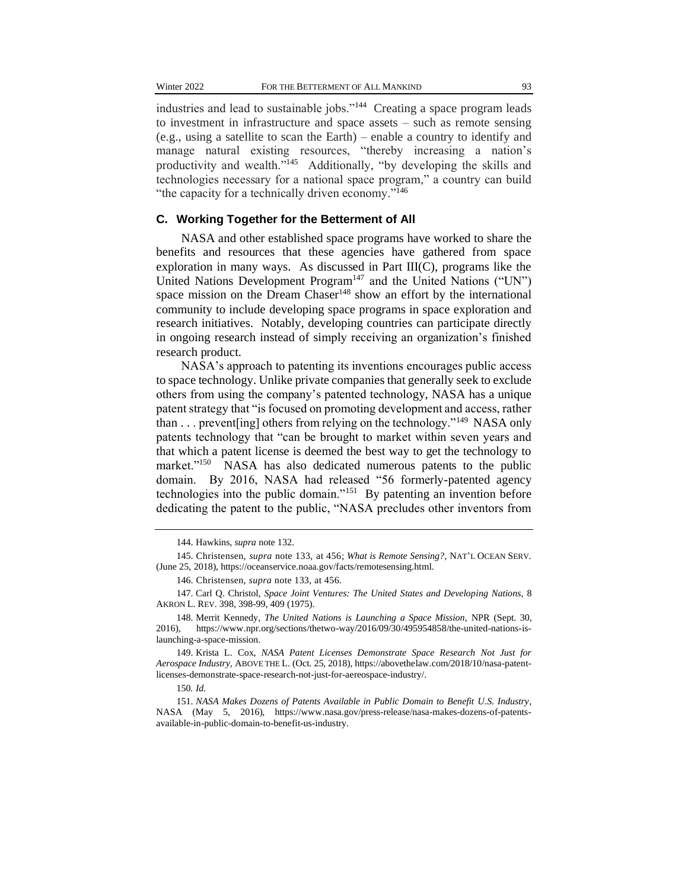industries and lead to sustainable jobs."<sup>144</sup> Creating a space program leads to investment in infrastructure and space assets – such as remote sensing (e.g., using a satellite to scan the Earth) – enable a country to identify and manage natural existing resources, "thereby increasing a nation's productivity and wealth."<sup>145</sup> Additionally, "by developing the skills and technologies necessary for a national space program," a country can build "the capacity for a technically driven economy."<sup>146</sup>

#### **C. Working Together for the Betterment of All**

NASA and other established space programs have worked to share the benefits and resources that these agencies have gathered from space exploration in many ways. As discussed in Part III(C), programs like the United Nations Development Program<sup>147</sup> and the United Nations ("UN") space mission on the Dream Chaser<sup>148</sup> show an effort by the international community to include developing space programs in space exploration and research initiatives. Notably, developing countries can participate directly in ongoing research instead of simply receiving an organization's finished research product.

NASA's approach to patenting its inventions encourages public access to space technology. Unlike private companies that generally seek to exclude others from using the company's patented technology, NASA has a unique patent strategy that "is focused on promoting development and access, rather than . . . prevent [ing] others from relying on the technology."<sup>149</sup> NASA only patents technology that "can be brought to market within seven years and that which a patent license is deemed the best way to get the technology to market."<sup>150</sup> NASA has also dedicated numerous patents to the public domain. By 2016, NASA had released "56 formerly-patented agency technologies into the public domain."<sup>151</sup> By patenting an invention before dedicating the patent to the public, "NASA precludes other inventors from

<sup>144.</sup> Hawkins, *supra* note 132.

<sup>145.</sup> Christensen, *supra* note 133, at 456; *What is Remote Sensing?*, NAT'L OCEAN SERV. (June 25, 2018), https://oceanservice.noaa.gov/facts/remotesensing.html.

<sup>146.</sup> Christensen, *supra* note 133, at 456.

<sup>147.</sup> Carl Q. Christol, *Space Joint Ventures: The United States and Developing Nations*, 8 AKRON L. REV. 398, 398-99, 409 (1975).

<sup>148.</sup> Merrit Kennedy, *The United Nations is Launching a Space Mission*, NPR (Sept. 30, 2016), https://www.npr.org/sections/thetwo-way/2016/09/30/495954858/the-united-nations-islaunching-a-space-mission.

<sup>149.</sup> Krista L. Cox, *NASA Patent Licenses Demonstrate Space Research Not Just for Aerospace Industry*, ABOVE THE L. (Oct. 25, 2018), https://abovethelaw.com/2018/10/nasa-patentlicenses-demonstrate-space-research-not-just-for-aereospace-industry/.

<sup>150</sup>*. Id.*

<sup>151.</sup> *NASA Makes Dozens of Patents Available in Public Domain to Benefit U.S. Industry*, NASA (May 5, 2016), https://www.nasa.gov/press-release/nasa-makes-dozens-of-patentsavailable-in-public-domain-to-benefit-us-industry.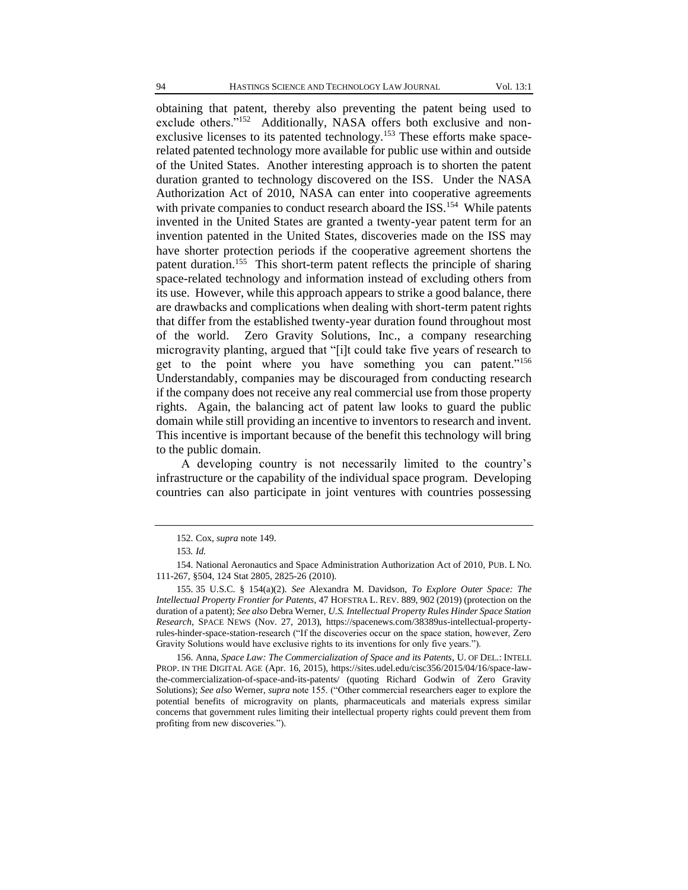obtaining that patent, thereby also preventing the patent being used to exclude others."<sup>152</sup> Additionally, NASA offers both exclusive and nonexclusive licenses to its patented technology.<sup>153</sup> These efforts make spacerelated patented technology more available for public use within and outside of the United States. Another interesting approach is to shorten the patent duration granted to technology discovered on the ISS. Under the NASA Authorization Act of 2010, NASA can enter into cooperative agreements with private companies to conduct research aboard the ISS.<sup>154</sup> While patents invented in the United States are granted a twenty-year patent term for an invention patented in the United States, discoveries made on the ISS may have shorter protection periods if the cooperative agreement shortens the patent duration.<sup>155</sup> This short-term patent reflects the principle of sharing space-related technology and information instead of excluding others from its use. However, while this approach appears to strike a good balance, there are drawbacks and complications when dealing with short-term patent rights that differ from the established twenty-year duration found throughout most of the world. Zero Gravity Solutions, Inc., a company researching microgravity planting, argued that "[i]t could take five years of research to get to the point where you have something you can patent."<sup>156</sup> Understandably, companies may be discouraged from conducting research if the company does not receive any real commercial use from those property rights. Again, the balancing act of patent law looks to guard the public domain while still providing an incentive to inventors to research and invent. This incentive is important because of the benefit this technology will bring to the public domain.

A developing country is not necessarily limited to the country's infrastructure or the capability of the individual space program. Developing countries can also participate in joint ventures with countries possessing

<sup>152.</sup> Cox, *supra* note 149.

<sup>153</sup>*. Id.*

<sup>154.</sup> National Aeronautics and Space Administration Authorization Act of 2010, PUB. L NO. 111-267, §504, 124 Stat 2805, 2825-26 (2010).

<sup>155.</sup> 35 U.S.C. § 154(a)(2). *See* Alexandra M. Davidson, *To Explore Outer Space: The Intellectual Property Frontier for Patents*, 47 HOFSTRA L. REV. 889, 902 (2019) (protection on the duration of a patent); *See also* Debra Werner, *U.S. Intellectual Property Rules Hinder Space Station Research*, SPACE NEWS (Nov. 27, 2013), https://spacenews.com/38389us-intellectual-propertyrules-hinder-space-station-research ("If the discoveries occur on the space station, however, Zero Gravity Solutions would have exclusive rights to its inventions for only five years.").

<sup>156.</sup> Anna*, Space Law: The Commercialization of Space and its Patents*, U. OF DEL.: INTELL PROP. IN THE DIGITAL AGE (Apr. 16, 2015), https://sites.udel.edu/cisc356/2015/04/16/space-lawthe-commercialization-of-space-and-its-patents/ (quoting Richard Godwin of Zero Gravity Solutions); *See also* Werner, *supra* note 155. ("Other commercial researchers eager to explore the potential benefits of microgravity on plants, pharmaceuticals and materials express similar concerns that government rules limiting their intellectual property rights could prevent them from profiting from new discoveries.").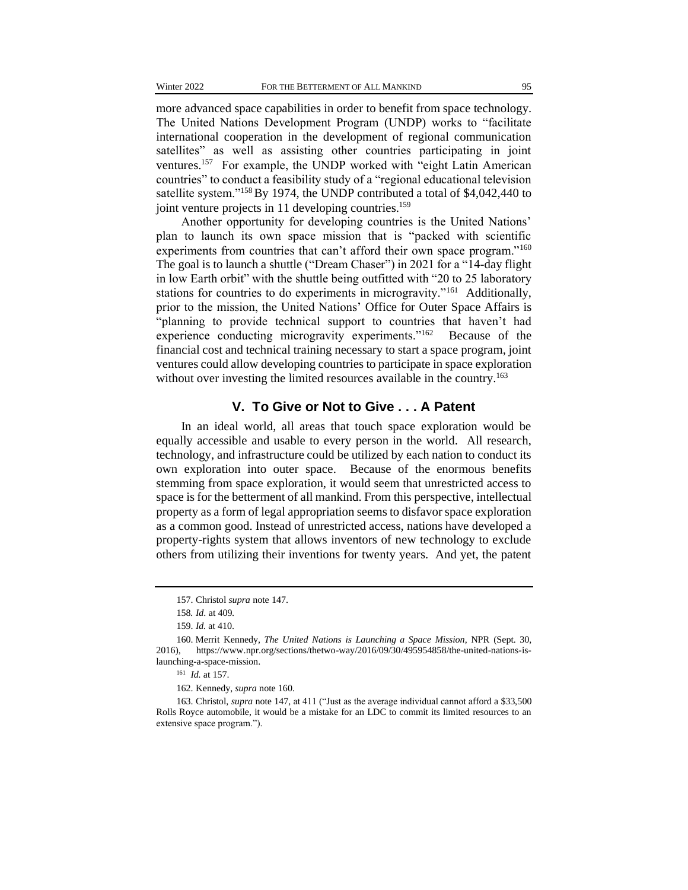more advanced space capabilities in order to benefit from space technology. The United Nations Development Program (UNDP) works to "facilitate international cooperation in the development of regional communication satellites" as well as assisting other countries participating in joint ventures.<sup>157</sup> For example, the UNDP worked with "eight Latin American countries" to conduct a feasibility study of a "regional educational television satellite system."<sup>158</sup>By 1974, the UNDP contributed a total of \$4,042,440 to joint venture projects in 11 developing countries.<sup>159</sup>

Another opportunity for developing countries is the United Nations' plan to launch its own space mission that is "packed with scientific experiments from countries that can't afford their own space program."<sup>160</sup> The goal is to launch a shuttle ("Dream Chaser") in 2021 for a "14-day flight in low Earth orbit" with the shuttle being outfitted with "20 to 25 laboratory stations for countries to do experiments in microgravity."<sup>161</sup> Additionally, prior to the mission, the United Nations' Office for Outer Space Affairs is "planning to provide technical support to countries that haven't had experience conducting microgravity experiments."<sup>162</sup> Because of the financial cost and technical training necessary to start a space program, joint ventures could allow developing countries to participate in space exploration without over investing the limited resources available in the country.<sup>163</sup>

## **V. To Give or Not to Give . . . A Patent**

In an ideal world, all areas that touch space exploration would be equally accessible and usable to every person in the world. All research, technology, and infrastructure could be utilized by each nation to conduct its own exploration into outer space. Because of the enormous benefits stemming from space exploration, it would seem that unrestricted access to space is for the betterment of all mankind. From this perspective, intellectual property as a form of legal appropriation seems to disfavor space exploration as a common good. Instead of unrestricted access, nations have developed a property-rights system that allows inventors of new technology to exclude others from utilizing their inventions for twenty years. And yet, the patent

<sup>157.</sup> Christol *supra* note 147.

<sup>158</sup>*. Id*. at 409.

<sup>159.</sup> *Id.* at 410.

<sup>160.</sup> Merrit Kennedy, *The United Nations is Launching a Space Mission*, NPR (Sept. 30, 2016), https://www.npr.org/sections/thetwo-way/2016/09/30/495954858/the-united-nations-islaunching-a-space-mission.

<sup>161</sup> *Id.* at 157.

<sup>162.</sup> Kennedy, *supra* note 160.

<sup>163.</sup> Christol, *supra* note 147, at 411 ("Just as the average individual cannot afford a \$33,500 Rolls Royce automobile, it would be a mistake for an LDC to commit its limited resources to an extensive space program.").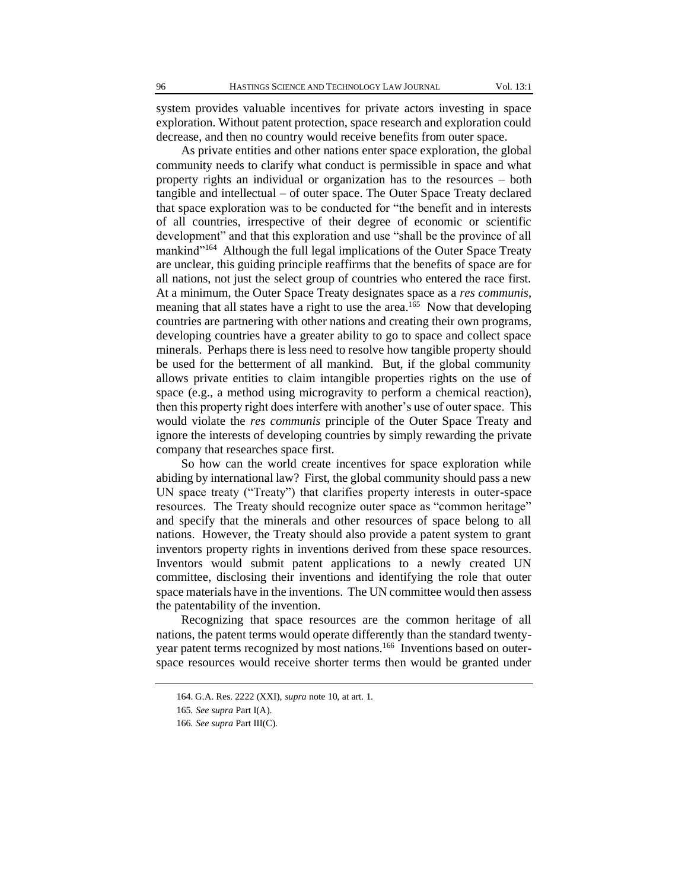system provides valuable incentives for private actors investing in space exploration. Without patent protection, space research and exploration could decrease, and then no country would receive benefits from outer space.

As private entities and other nations enter space exploration, the global community needs to clarify what conduct is permissible in space and what property rights an individual or organization has to the resources – both tangible and intellectual – of outer space. The Outer Space Treaty declared that space exploration was to be conducted for "the benefit and in interests of all countries, irrespective of their degree of economic or scientific development" and that this exploration and use "shall be the province of all mankind"<sup>164</sup> Although the full legal implications of the Outer Space Treaty are unclear, this guiding principle reaffirms that the benefits of space are for all nations, not just the select group of countries who entered the race first. At a minimum, the Outer Space Treaty designates space as a *res communis*, meaning that all states have a right to use the area.<sup>165</sup> Now that developing countries are partnering with other nations and creating their own programs, developing countries have a greater ability to go to space and collect space minerals. Perhaps there is less need to resolve how tangible property should be used for the betterment of all mankind. But, if the global community allows private entities to claim intangible properties rights on the use of space (e.g., a method using microgravity to perform a chemical reaction), then this property right does interfere with another's use of outer space. This would violate the *res communis* principle of the Outer Space Treaty and ignore the interests of developing countries by simply rewarding the private company that researches space first.

So how can the world create incentives for space exploration while abiding by international law? First, the global community should pass a new UN space treaty ("Treaty") that clarifies property interests in outer-space resources. The Treaty should recognize outer space as "common heritage" and specify that the minerals and other resources of space belong to all nations. However, the Treaty should also provide a patent system to grant inventors property rights in inventions derived from these space resources. Inventors would submit patent applications to a newly created UN committee, disclosing their inventions and identifying the role that outer space materials have in the inventions. The UN committee would then assess the patentability of the invention.

Recognizing that space resources are the common heritage of all nations, the patent terms would operate differently than the standard twentyyear patent terms recognized by most nations.<sup>166</sup> Inventions based on outerspace resources would receive shorter terms then would be granted under

<sup>164.</sup> G.A. Res. 2222 (XXI), *supra* note 10, at art. 1.

<sup>165</sup>*. See supra* Part I(A).

<sup>166</sup>*. See supra* Part III(C).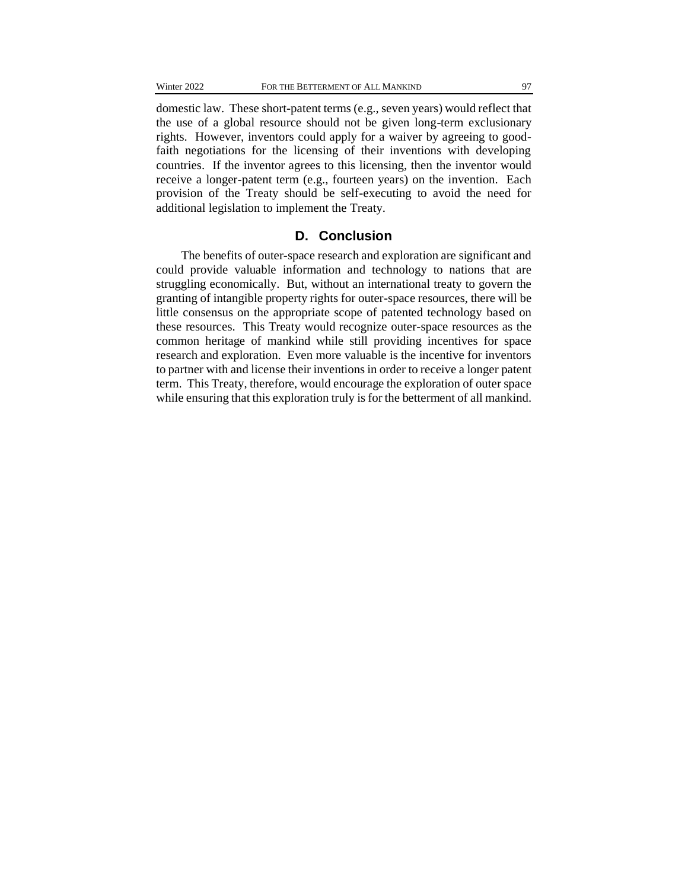domestic law. These short-patent terms (e.g., seven years) would reflect that the use of a global resource should not be given long-term exclusionary rights. However, inventors could apply for a waiver by agreeing to goodfaith negotiations for the licensing of their inventions with developing countries. If the inventor agrees to this licensing, then the inventor would receive a longer-patent term (e.g., fourteen years) on the invention. Each provision of the Treaty should be self-executing to avoid the need for additional legislation to implement the Treaty.

## **D. Conclusion**

The benefits of outer-space research and exploration are significant and could provide valuable information and technology to nations that are struggling economically. But, without an international treaty to govern the granting of intangible property rights for outer-space resources, there will be little consensus on the appropriate scope of patented technology based on these resources. This Treaty would recognize outer-space resources as the common heritage of mankind while still providing incentives for space research and exploration. Even more valuable is the incentive for inventors to partner with and license their inventions in order to receive a longer patent term. This Treaty, therefore, would encourage the exploration of outer space while ensuring that this exploration truly is for the betterment of all mankind.